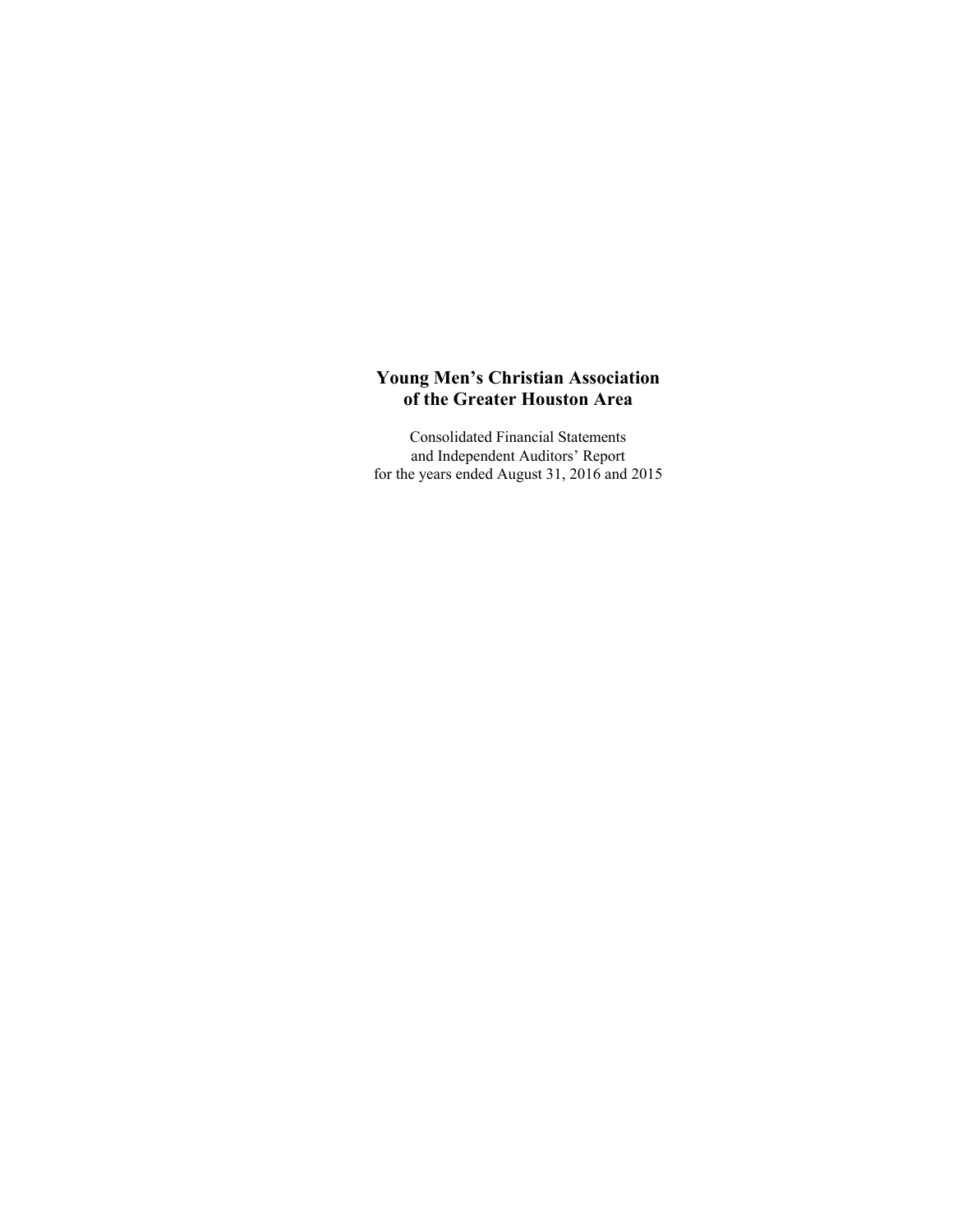Consolidated Financial Statements and Independent Auditors' Report for the years ended August 31, 2016 and 2015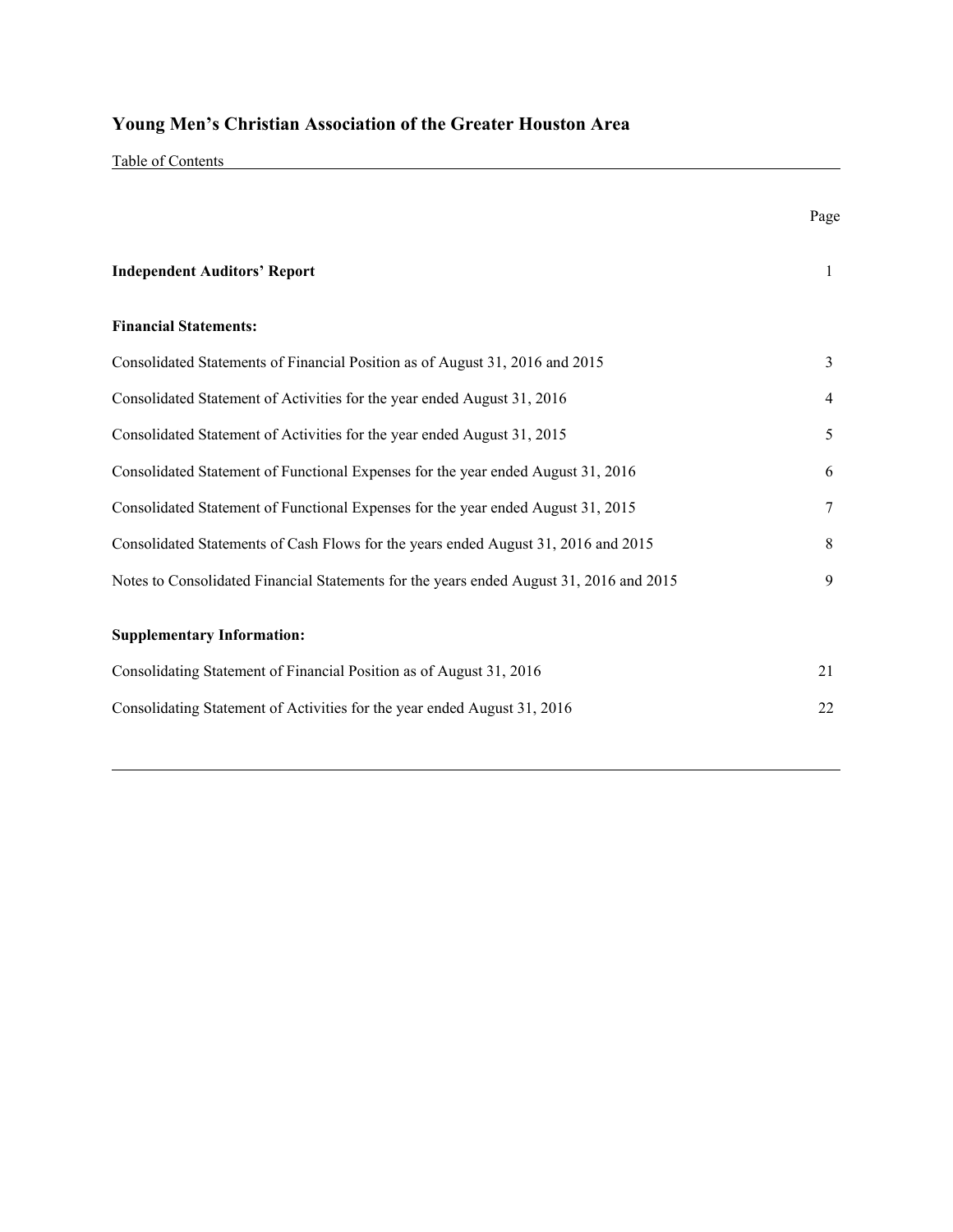Table of Contents

|                                                                                         | Page           |
|-----------------------------------------------------------------------------------------|----------------|
| <b>Independent Auditors' Report</b>                                                     | $\mathbf{1}$   |
| <b>Financial Statements:</b>                                                            |                |
| Consolidated Statements of Financial Position as of August 31, 2016 and 2015            | $\overline{3}$ |
| Consolidated Statement of Activities for the year ended August 31, 2016                 | 4              |
| Consolidated Statement of Activities for the year ended August 31, 2015                 | 5              |
| Consolidated Statement of Functional Expenses for the year ended August 31, 2016        | 6              |
| Consolidated Statement of Functional Expenses for the year ended August 31, 2015        | 7              |
| Consolidated Statements of Cash Flows for the years ended August 31, 2016 and 2015      | 8              |
| Notes to Consolidated Financial Statements for the years ended August 31, 2016 and 2015 | 9              |
| <b>Supplementary Information:</b>                                                       |                |
| Consolidating Statement of Financial Position as of August 31, 2016                     | 21             |
| Consolidating Statement of Activities for the year ended August 31, 2016                | 22             |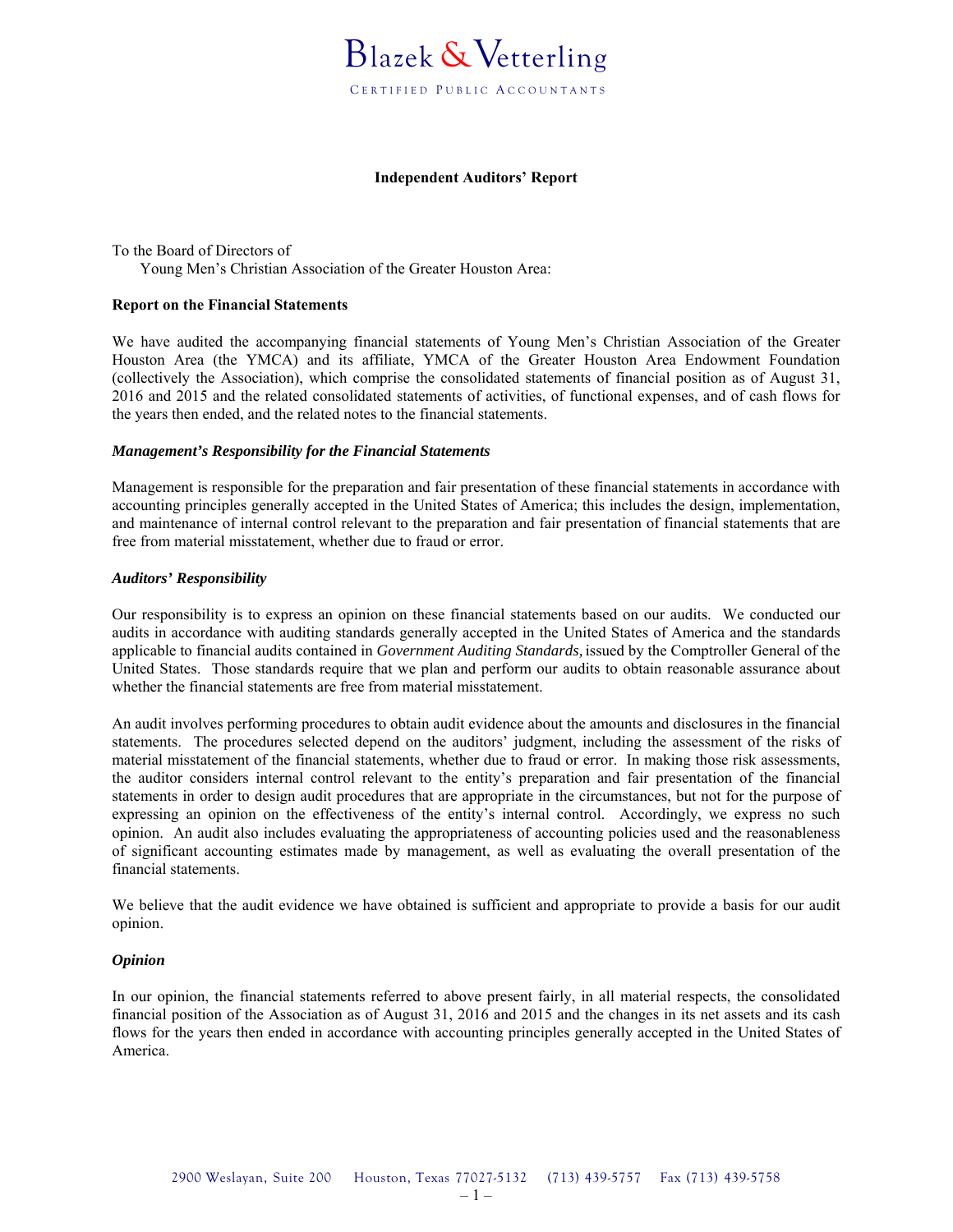

#### **Independent Auditors' Report**

To the Board of Directors of Young Men's Christian Association of the Greater Houston Area:

#### **Report on the Financial Statements**

We have audited the accompanying financial statements of Young Men's Christian Association of the Greater Houston Area (the YMCA) and its affiliate, YMCA of the Greater Houston Area Endowment Foundation (collectively the Association), which comprise the consolidated statements of financial position as of August 31, 2016 and 2015 and the related consolidated statements of activities, of functional expenses, and of cash flows for the years then ended, and the related notes to the financial statements.

#### *Management's Responsibility for the Financial Statements*

Management is responsible for the preparation and fair presentation of these financial statements in accordance with accounting principles generally accepted in the United States of America; this includes the design, implementation, and maintenance of internal control relevant to the preparation and fair presentation of financial statements that are free from material misstatement, whether due to fraud or error.

#### *Auditors' Responsibility*

Our responsibility is to express an opinion on these financial statements based on our audits. We conducted our audits in accordance with auditing standards generally accepted in the United States of America and the standards applicable to financial audits contained in *Government Auditing Standards,* issued by the Comptroller General of the United States. Those standards require that we plan and perform our audits to obtain reasonable assurance about whether the financial statements are free from material misstatement.

An audit involves performing procedures to obtain audit evidence about the amounts and disclosures in the financial statements. The procedures selected depend on the auditors' judgment, including the assessment of the risks of material misstatement of the financial statements, whether due to fraud or error. In making those risk assessments, the auditor considers internal control relevant to the entity's preparation and fair presentation of the financial statements in order to design audit procedures that are appropriate in the circumstances, but not for the purpose of expressing an opinion on the effectiveness of the entity's internal control. Accordingly, we express no such opinion. An audit also includes evaluating the appropriateness of accounting policies used and the reasonableness of significant accounting estimates made by management, as well as evaluating the overall presentation of the financial statements.

We believe that the audit evidence we have obtained is sufficient and appropriate to provide a basis for our audit opinion.

#### *Opinion*

In our opinion, the financial statements referred to above present fairly, in all material respects, the consolidated financial position of the Association as of August 31, 2016 and 2015 and the changes in its net assets and its cash flows for the years then ended in accordance with accounting principles generally accepted in the United States of America.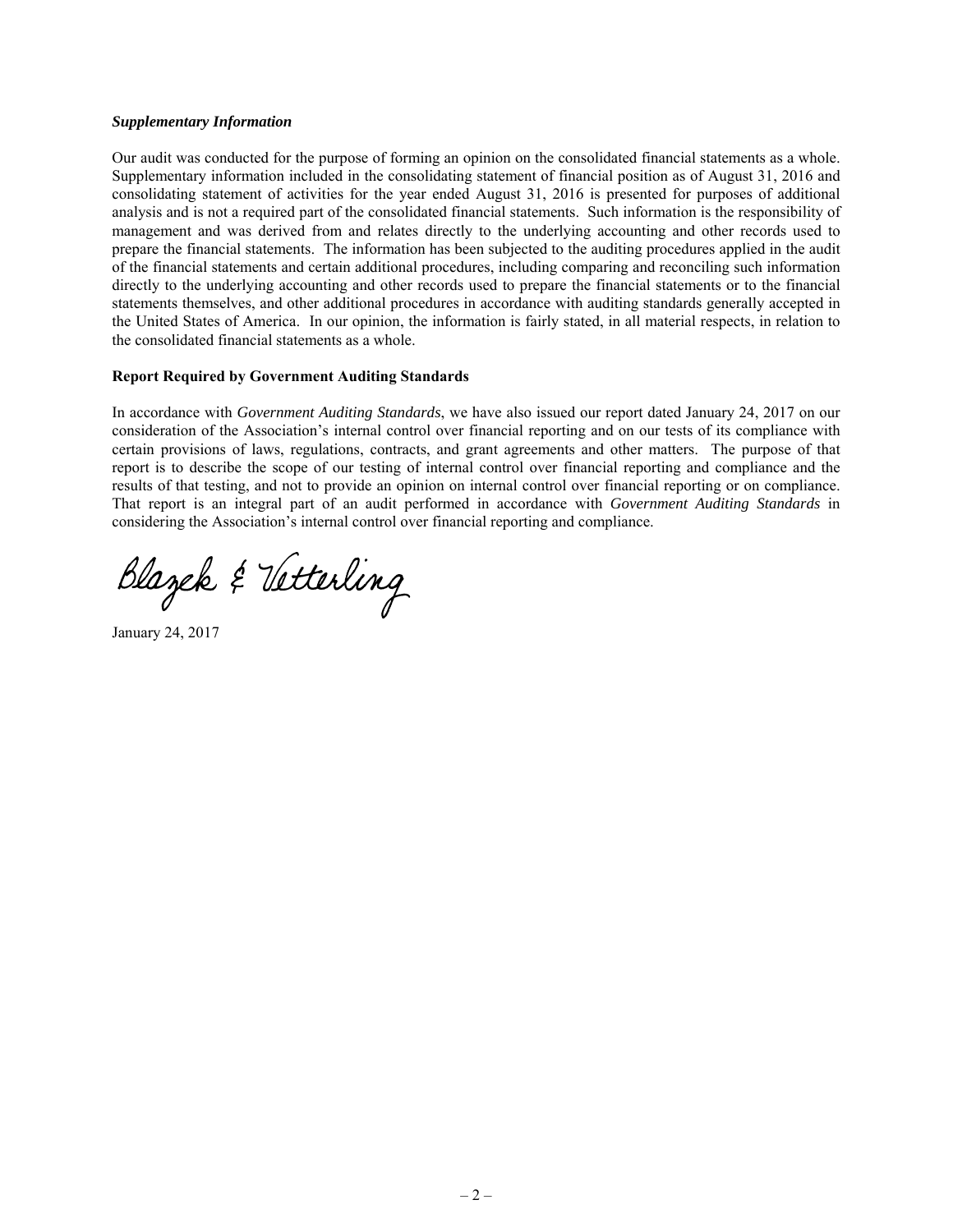#### *Supplementary Information*

Our audit was conducted for the purpose of forming an opinion on the consolidated financial statements as a whole. Supplementary information included in the consolidating statement of financial position as of August 31, 2016 and consolidating statement of activities for the year ended August 31, 2016 is presented for purposes of additional analysis and is not a required part of the consolidated financial statements. Such information is the responsibility of management and was derived from and relates directly to the underlying accounting and other records used to prepare the financial statements. The information has been subjected to the auditing procedures applied in the audit of the financial statements and certain additional procedures, including comparing and reconciling such information directly to the underlying accounting and other records used to prepare the financial statements or to the financial statements themselves, and other additional procedures in accordance with auditing standards generally accepted in the United States of America. In our opinion, the information is fairly stated, in all material respects, in relation to the consolidated financial statements as a whole.

#### **Report Required by Government Auditing Standards**

In accordance with *Government Auditing Standards*, we have also issued our report dated January 24, 2017 on our consideration of the Association's internal control over financial reporting and on our tests of its compliance with certain provisions of laws, regulations, contracts, and grant agreements and other matters. The purpose of that report is to describe the scope of our testing of internal control over financial reporting and compliance and the results of that testing, and not to provide an opinion on internal control over financial reporting or on compliance. That report is an integral part of an audit performed in accordance with *Government Auditing Standards* in considering the Association's internal control over financial reporting and compliance.

Blazek & Vetterling

January 24, 2017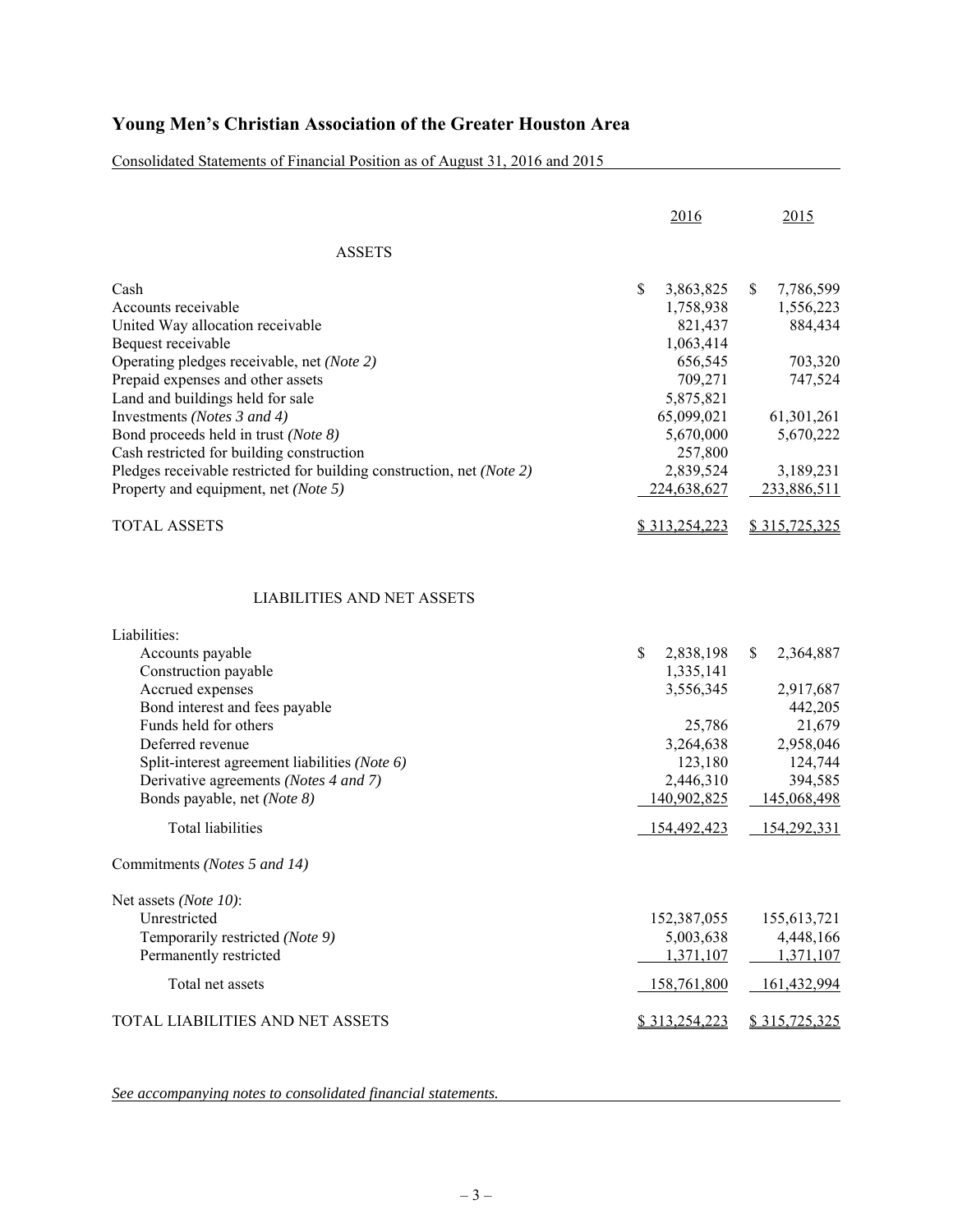Consolidated Statements of Financial Position as of August 31, 2016 and 2015

|                                                                       | 2016                         | 2015                         |
|-----------------------------------------------------------------------|------------------------------|------------------------------|
| <b>ASSETS</b>                                                         |                              |                              |
| Cash<br>Accounts receivable                                           | \$<br>3,863,825<br>1,758,938 | \$<br>7,786,599<br>1,556,223 |
| United Way allocation receivable                                      | 821,437                      | 884,434                      |
| Bequest receivable                                                    | 1,063,414                    |                              |
| Operating pledges receivable, net (Note 2)                            | 656,545                      | 703,320                      |
| Prepaid expenses and other assets                                     | 709,271                      | 747,524                      |
| Land and buildings held for sale                                      | 5,875,821                    |                              |
| Investments (Notes 3 and 4)                                           | 65,099,021                   | 61,301,261                   |
| Bond proceeds held in trust (Note 8)                                  | 5,670,000                    | 5,670,222                    |
| Cash restricted for building construction                             | 257,800                      |                              |
| Pledges receivable restricted for building construction, net (Note 2) | 2,839,524                    | 3,189,231                    |
| Property and equipment, net (Note 5)                                  | 224,638,627                  | 233,886,511                  |
| <b>TOTAL ASSETS</b>                                                   | \$313,254,223                | \$315,725,325                |
| <b>LIABILITIES AND NET ASSETS</b>                                     |                              |                              |
| Liabilities:                                                          |                              |                              |
| Accounts payable                                                      | \$<br>2,838,198              | \$<br>2,364,887              |
| Construction payable                                                  | 1,335,141                    |                              |
| Accrued expenses                                                      | 3,556,345                    | 2,917,687                    |
| Bond interest and fees payable                                        |                              | 442,205                      |
| Funds held for others                                                 | 25,786                       | 21,679                       |
| Deferred revenue                                                      | 3,264,638                    | 2,958,046                    |
| Split-interest agreement liabilities (Note 6)                         | 123,180                      | 124,744                      |
| Derivative agreements (Notes 4 and 7)                                 | 2,446,310                    | 394,585                      |
| Bonds payable, net (Note 8)                                           | 140,902,825                  | 145,068,498                  |
| <b>Total liabilities</b>                                              | 154,492,423                  | 154,292,331                  |
| Commitments (Notes 5 and 14)                                          |                              |                              |
| Net assets (Note 10):                                                 |                              |                              |
| Unrestricted                                                          | 152,387,055                  | 155,613,721                  |
| Temporarily restricted (Note 9)                                       | 5,003,638                    | 4,448,166                    |
| Permanently restricted                                                | 1,371,107                    | 1,371,107                    |
| Total net assets                                                      | 158,761,800                  | 161,432,994                  |
| TOTAL LIABILITIES AND NET ASSETS                                      | \$313,254,223                | \$315,725,325                |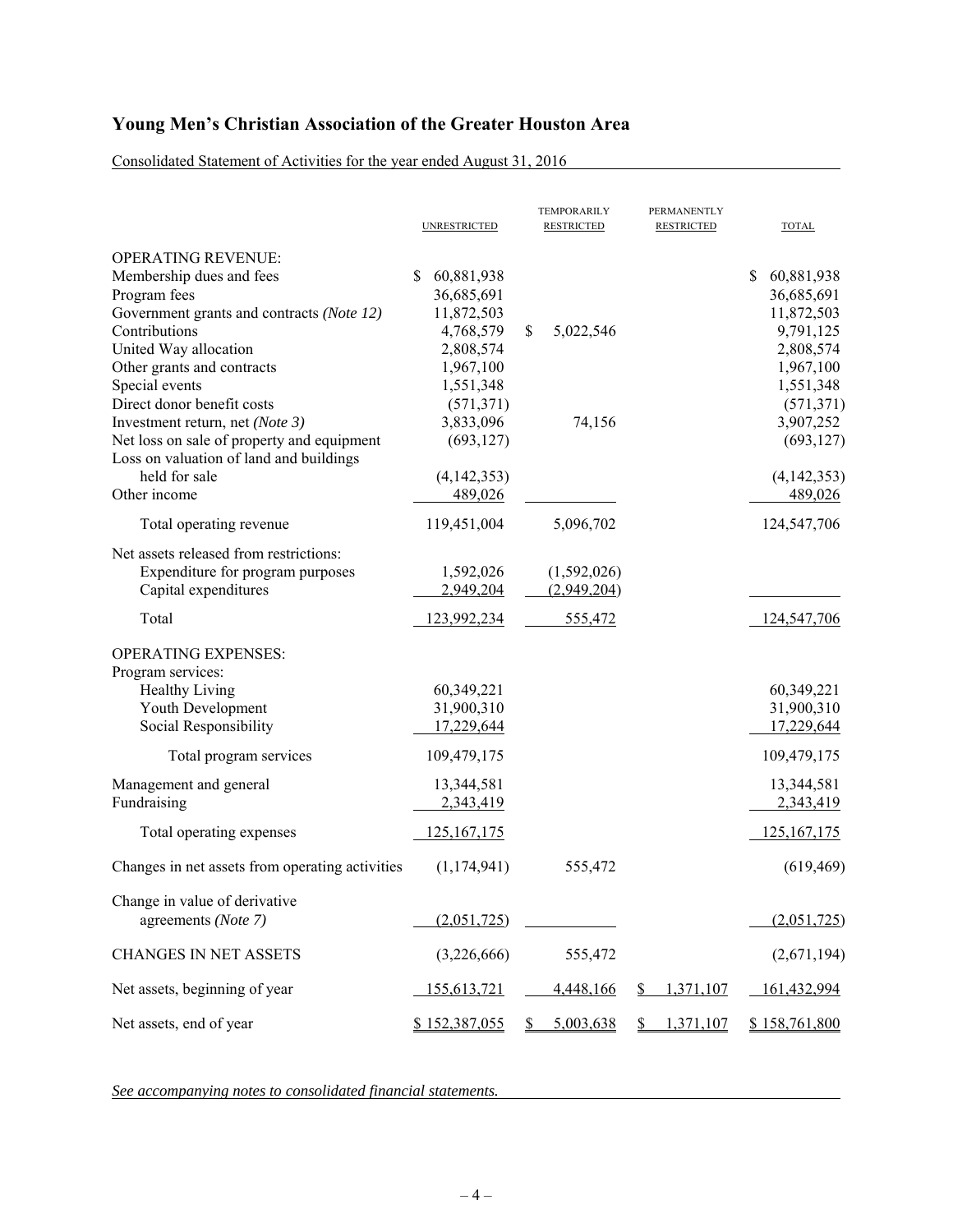Consolidated Statement of Activities for the year ended August 31, 2016

|                                                                                                                                                                                                                                                                                                                                                                                                         | <b>UNRESTRICTED</b>                                                                                                                                                   | TEMPORARILY<br><b>RESTRICTED</b> | PERMANENTLY<br><b>RESTRICTED</b> | <b>TOTAL</b>                                                                                                                                                          |
|---------------------------------------------------------------------------------------------------------------------------------------------------------------------------------------------------------------------------------------------------------------------------------------------------------------------------------------------------------------------------------------------------------|-----------------------------------------------------------------------------------------------------------------------------------------------------------------------|----------------------------------|----------------------------------|-----------------------------------------------------------------------------------------------------------------------------------------------------------------------|
| <b>OPERATING REVENUE:</b><br>Membership dues and fees<br>Program fees<br>Government grants and contracts (Note 12)<br>Contributions<br>United Way allocation<br>Other grants and contracts<br>Special events<br>Direct donor benefit costs<br>Investment return, net (Note 3)<br>Net loss on sale of property and equipment<br>Loss on valuation of land and buildings<br>held for sale<br>Other income | 60,881,938<br>S.<br>36,685,691<br>11,872,503<br>4,768,579<br>2,808,574<br>1,967,100<br>1,551,348<br>(571, 371)<br>3,833,096<br>(693, 127)<br>(4, 142, 353)<br>489,026 | \$<br>5,022,546<br>74,156        |                                  | 60,881,938<br>\$<br>36,685,691<br>11,872,503<br>9,791,125<br>2,808,574<br>1,967,100<br>1,551,348<br>(571, 371)<br>3,907,252<br>(693, 127)<br>(4, 142, 353)<br>489,026 |
| Total operating revenue                                                                                                                                                                                                                                                                                                                                                                                 | 119,451,004                                                                                                                                                           | 5,096,702                        |                                  | 124,547,706                                                                                                                                                           |
| Net assets released from restrictions:<br>Expenditure for program purposes<br>Capital expenditures                                                                                                                                                                                                                                                                                                      | 1,592,026<br>2,949,204                                                                                                                                                | (1,592,026)<br>(2,949,204)       |                                  |                                                                                                                                                                       |
| Total                                                                                                                                                                                                                                                                                                                                                                                                   | 123,992,234                                                                                                                                                           | 555,472                          |                                  | 124,547,706                                                                                                                                                           |
| <b>OPERATING EXPENSES:</b><br>Program services:<br>Healthy Living<br>Youth Development<br>Social Responsibility                                                                                                                                                                                                                                                                                         | 60,349,221<br>31,900,310<br>17,229,644                                                                                                                                |                                  |                                  | 60,349,221<br>31,900,310<br>17,229,644                                                                                                                                |
| Total program services                                                                                                                                                                                                                                                                                                                                                                                  | 109,479,175                                                                                                                                                           |                                  |                                  | 109,479,175                                                                                                                                                           |
| Management and general<br>Fundraising                                                                                                                                                                                                                                                                                                                                                                   | 13,344,581<br>2,343,419                                                                                                                                               |                                  |                                  | 13,344,581<br>2,343,419                                                                                                                                               |
| Total operating expenses                                                                                                                                                                                                                                                                                                                                                                                | <u>125,167,175</u>                                                                                                                                                    |                                  |                                  | 125, 167, 175                                                                                                                                                         |
| Changes in net assets from operating activities                                                                                                                                                                                                                                                                                                                                                         | (1, 174, 941)                                                                                                                                                         | 555,472                          |                                  | (619, 469)                                                                                                                                                            |
| Change in value of derivative<br>agreements (Note 7)                                                                                                                                                                                                                                                                                                                                                    | (2,051,725)                                                                                                                                                           |                                  |                                  | (2,051,725)                                                                                                                                                           |
| <b>CHANGES IN NET ASSETS</b>                                                                                                                                                                                                                                                                                                                                                                            | (3,226,666)                                                                                                                                                           | 555,472                          |                                  | (2,671,194)                                                                                                                                                           |
| Net assets, beginning of year                                                                                                                                                                                                                                                                                                                                                                           | 155,613,721                                                                                                                                                           | 4,448,166                        | 1,371,107<br>\$                  | 161,432,994                                                                                                                                                           |
| Net assets, end of year                                                                                                                                                                                                                                                                                                                                                                                 | \$152,387,055                                                                                                                                                         | 5,003,638<br>S                   | 1,371,107<br>\$                  | \$158,761,800                                                                                                                                                         |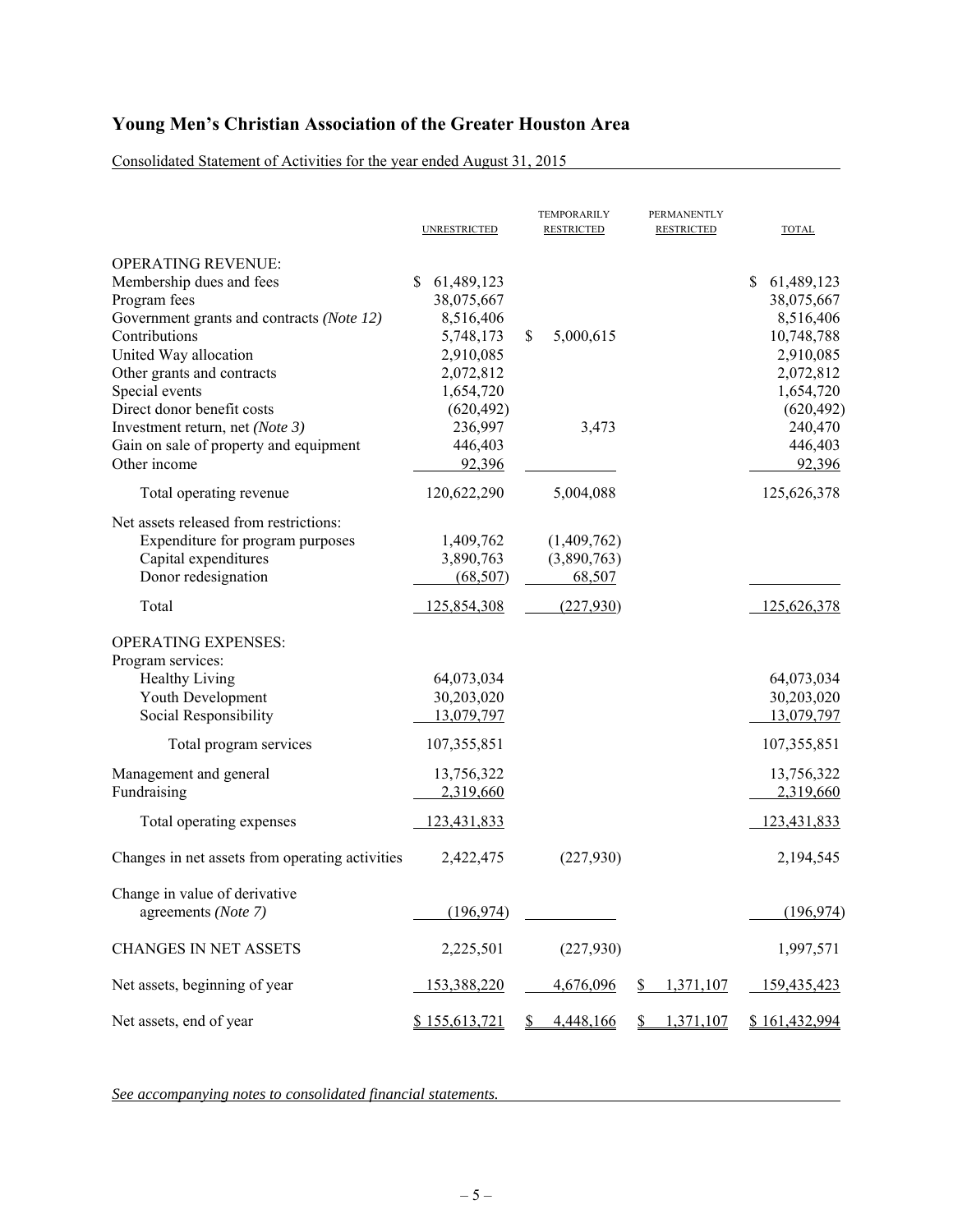Consolidated Statement of Activities for the year ended August 31, 2015

|                                                                                                                                                                                                                                                                                                                                         | <b>UNRESTRICTED</b>                                                                                                                           | TEMPORARILY<br><b>RESTRICTED</b>                   | PERMANENTLY<br><b>RESTRICTED</b> | <b>TOTAL</b>                                                                                                                                   |
|-----------------------------------------------------------------------------------------------------------------------------------------------------------------------------------------------------------------------------------------------------------------------------------------------------------------------------------------|-----------------------------------------------------------------------------------------------------------------------------------------------|----------------------------------------------------|----------------------------------|------------------------------------------------------------------------------------------------------------------------------------------------|
| <b>OPERATING REVENUE:</b><br>Membership dues and fees<br>Program fees<br>Government grants and contracts (Note 12)<br>Contributions<br>United Way allocation<br>Other grants and contracts<br>Special events<br>Direct donor benefit costs<br>Investment return, net (Note 3)<br>Gain on sale of property and equipment<br>Other income | \$<br>61,489,123<br>38,075,667<br>8,516,406<br>5,748,173<br>2,910,085<br>2,072,812<br>1,654,720<br>(620, 492)<br>236,997<br>446,403<br>92,396 | 5,000,615<br>\$<br>3,473                           |                                  | \$<br>61,489,123<br>38,075,667<br>8,516,406<br>10,748,788<br>2,910,085<br>2,072,812<br>1,654,720<br>(620, 492)<br>240,470<br>446,403<br>92,396 |
| Total operating revenue                                                                                                                                                                                                                                                                                                                 | 120,622,290                                                                                                                                   | 5,004,088                                          |                                  | 125,626,378                                                                                                                                    |
| Net assets released from restrictions:<br>Expenditure for program purposes<br>Capital expenditures<br>Donor redesignation<br>Total                                                                                                                                                                                                      | 1,409,762<br>3,890,763<br>(68, 507)<br>125,854,308                                                                                            | (1,409,762)<br>(3,890,763)<br>68,507<br>(227, 930) |                                  | 125,626,378                                                                                                                                    |
| <b>OPERATING EXPENSES:</b><br>Program services:                                                                                                                                                                                                                                                                                         |                                                                                                                                               |                                                    |                                  |                                                                                                                                                |
| Healthy Living<br>Youth Development<br>Social Responsibility                                                                                                                                                                                                                                                                            | 64,073,034<br>30,203,020<br>13,079,797                                                                                                        |                                                    |                                  | 64,073,034<br>30,203,020<br>13,079,797                                                                                                         |
| Total program services                                                                                                                                                                                                                                                                                                                  | 107,355,851                                                                                                                                   |                                                    |                                  | 107, 355, 851                                                                                                                                  |
| Management and general<br>Fundraising                                                                                                                                                                                                                                                                                                   | 13,756,322<br>2,319,660                                                                                                                       |                                                    |                                  | 13,756,322<br>2,319,660                                                                                                                        |
| Total operating expenses                                                                                                                                                                                                                                                                                                                | 123,431,833                                                                                                                                   |                                                    |                                  | 123,431,833                                                                                                                                    |
| Changes in net assets from operating activities                                                                                                                                                                                                                                                                                         | 2,422,475                                                                                                                                     | (227, 930)                                         |                                  | 2,194,545                                                                                                                                      |
| Change in value of derivative<br>agreements (Note 7)                                                                                                                                                                                                                                                                                    | (196, 974)                                                                                                                                    |                                                    |                                  | (196, 974)                                                                                                                                     |
| <b>CHANGES IN NET ASSETS</b>                                                                                                                                                                                                                                                                                                            | 2,225,501                                                                                                                                     | (227,930)                                          |                                  | 1,997,571                                                                                                                                      |
| Net assets, beginning of year                                                                                                                                                                                                                                                                                                           | 153,388,220                                                                                                                                   | 4,676,096                                          | 1,371,107<br>\$                  | 159,435,423                                                                                                                                    |
| Net assets, end of year                                                                                                                                                                                                                                                                                                                 | \$155,613,721                                                                                                                                 | 4,448,166                                          | 1,371,107                        | \$161,432,994                                                                                                                                  |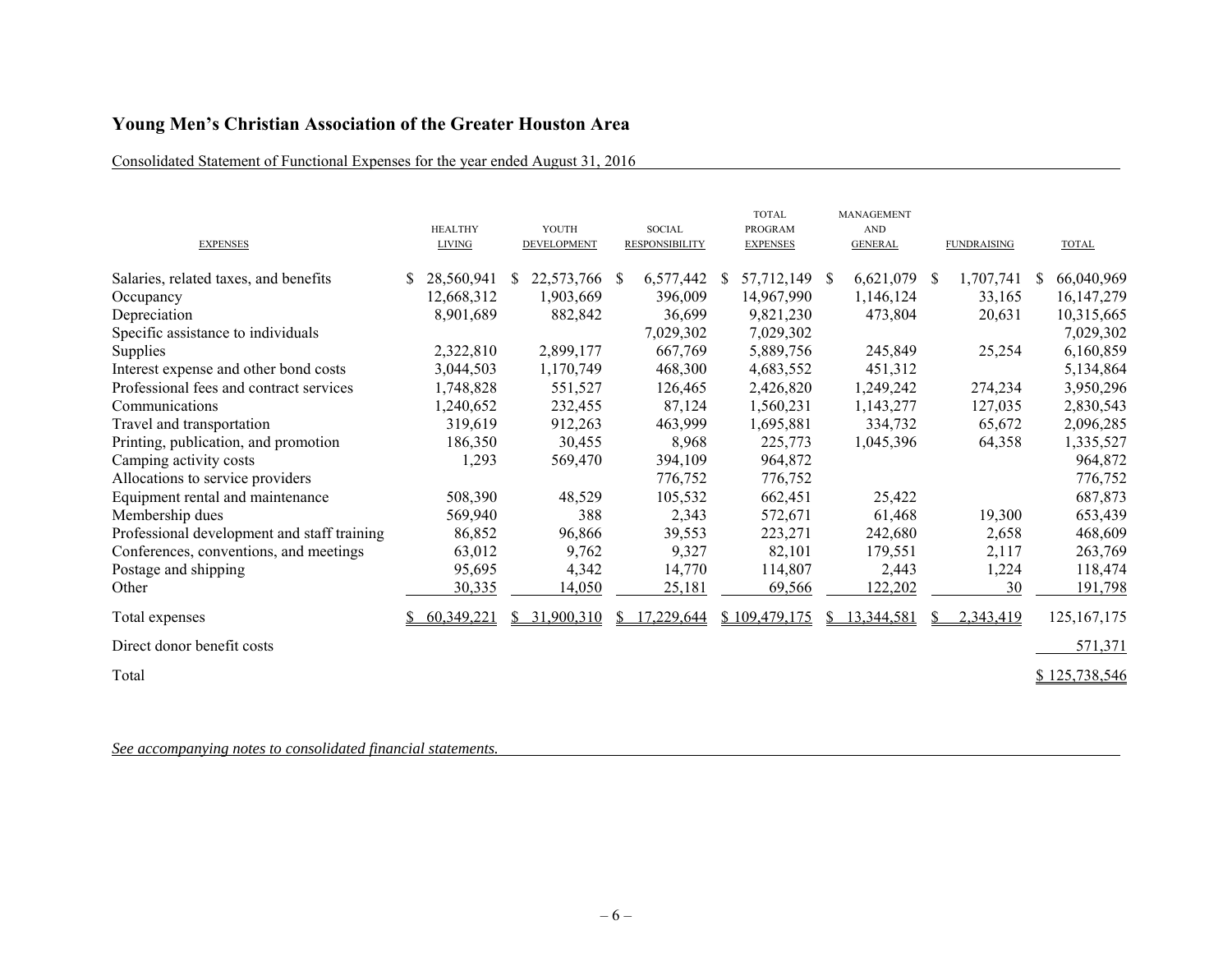# Consolidated Statement of Functional Expenses for the year ended August 31, 2016

| <b>EXPENSES</b>                             | <b>HEALTHY</b><br><b>LIVING</b> |              | YOUTH<br>DEVELOPMENT |              | <b>SOCIAL</b><br><b>RESPONSIBILITY</b> |              | <b>TOTAL</b><br><b>PROGRAM</b><br><b>EXPENSES</b> |    | <b>MANAGEMENT</b><br><b>AND</b><br><b>GENERAL</b> |              | <b>FUNDRAISING</b> |    | <b>TOTAL</b>  |
|---------------------------------------------|---------------------------------|--------------|----------------------|--------------|----------------------------------------|--------------|---------------------------------------------------|----|---------------------------------------------------|--------------|--------------------|----|---------------|
| Salaries, related taxes, and benefits       | 28,560,941                      | <sup>S</sup> | 22,573,766           | <sup>S</sup> | 6,577,442                              | <sup>S</sup> | 57,712,149 \$                                     |    | 6,621,079                                         | <sup>S</sup> | 1,707,741          | S. | 66,040,969    |
| Occupancy                                   | 12,668,312                      |              | 1,903,669            |              | 396,009                                |              | 14,967,990                                        |    | 1,146,124                                         |              | 33,165             |    | 16, 147, 279  |
| Depreciation                                | 8,901,689                       |              | 882,842              |              | 36,699                                 |              | 9,821,230                                         |    | 473,804                                           |              | 20,631             |    | 10,315,665    |
| Specific assistance to individuals          |                                 |              |                      |              | 7,029,302                              |              | 7,029,302                                         |    |                                                   |              |                    |    | 7,029,302     |
| Supplies                                    | 2,322,810                       |              | 2,899,177            |              | 667,769                                |              | 5,889,756                                         |    | 245,849                                           |              | 25,254             |    | 6,160,859     |
| Interest expense and other bond costs       | 3,044,503                       |              | 1,170,749            |              | 468,300                                |              | 4,683,552                                         |    | 451,312                                           |              |                    |    | 5,134,864     |
| Professional fees and contract services     | 1,748,828                       |              | 551,527              |              | 126,465                                |              | 2,426,820                                         |    | 1,249,242                                         |              | 274,234            |    | 3,950,296     |
| Communications                              | 1,240,652                       |              | 232,455              |              | 87,124                                 |              | 1,560,231                                         |    | 1,143,277                                         |              | 127,035            |    | 2,830,543     |
| Travel and transportation                   | 319,619                         |              | 912,263              |              | 463,999                                |              | 1,695,881                                         |    | 334,732                                           |              | 65,672             |    | 2,096,285     |
| Printing, publication, and promotion        | 186,350                         |              | 30,455               |              | 8,968                                  |              | 225,773                                           |    | 1,045,396                                         |              | 64,358             |    | 1,335,527     |
| Camping activity costs                      | 1,293                           |              | 569,470              |              | 394,109                                |              | 964,872                                           |    |                                                   |              |                    |    | 964,872       |
| Allocations to service providers            |                                 |              |                      |              | 776,752                                |              | 776,752                                           |    |                                                   |              |                    |    | 776,752       |
| Equipment rental and maintenance            | 508,390                         |              | 48,529               |              | 105,532                                |              | 662,451                                           |    | 25,422                                            |              |                    |    | 687,873       |
| Membership dues                             | 569,940                         |              | 388                  |              | 2,343                                  |              | 572,671                                           |    | 61,468                                            |              | 19,300             |    | 653,439       |
| Professional development and staff training | 86,852                          |              | 96,866               |              | 39,553                                 |              | 223,271                                           |    | 242,680                                           |              | 2,658              |    | 468,609       |
| Conferences, conventions, and meetings      | 63,012                          |              | 9,762                |              | 9,327                                  |              | 82,101                                            |    | 179,551                                           |              | 2,117              |    | 263,769       |
| Postage and shipping                        | 95,695                          |              | 4,342                |              | 14,770                                 |              | 114,807                                           |    | 2,443                                             |              | 1,224              |    | 118,474       |
| Other                                       | 30,335                          |              | 14,050               |              | 25,181                                 |              | 69,566                                            |    | 122,202                                           |              | 30                 |    | 191,798       |
| Total expenses                              | 60,349,221                      | S.           | 31,900,310           | S.           | 17,229,644                             |              | \$109,479,175                                     | S. | 13,344,581                                        | S.           | 2,343,419          |    | 125, 167, 175 |
| Direct donor benefit costs                  |                                 |              |                      |              |                                        |              |                                                   |    |                                                   |              |                    |    | 571,371       |
| Total                                       |                                 |              |                      |              |                                        |              |                                                   |    |                                                   |              |                    |    | \$125,738,546 |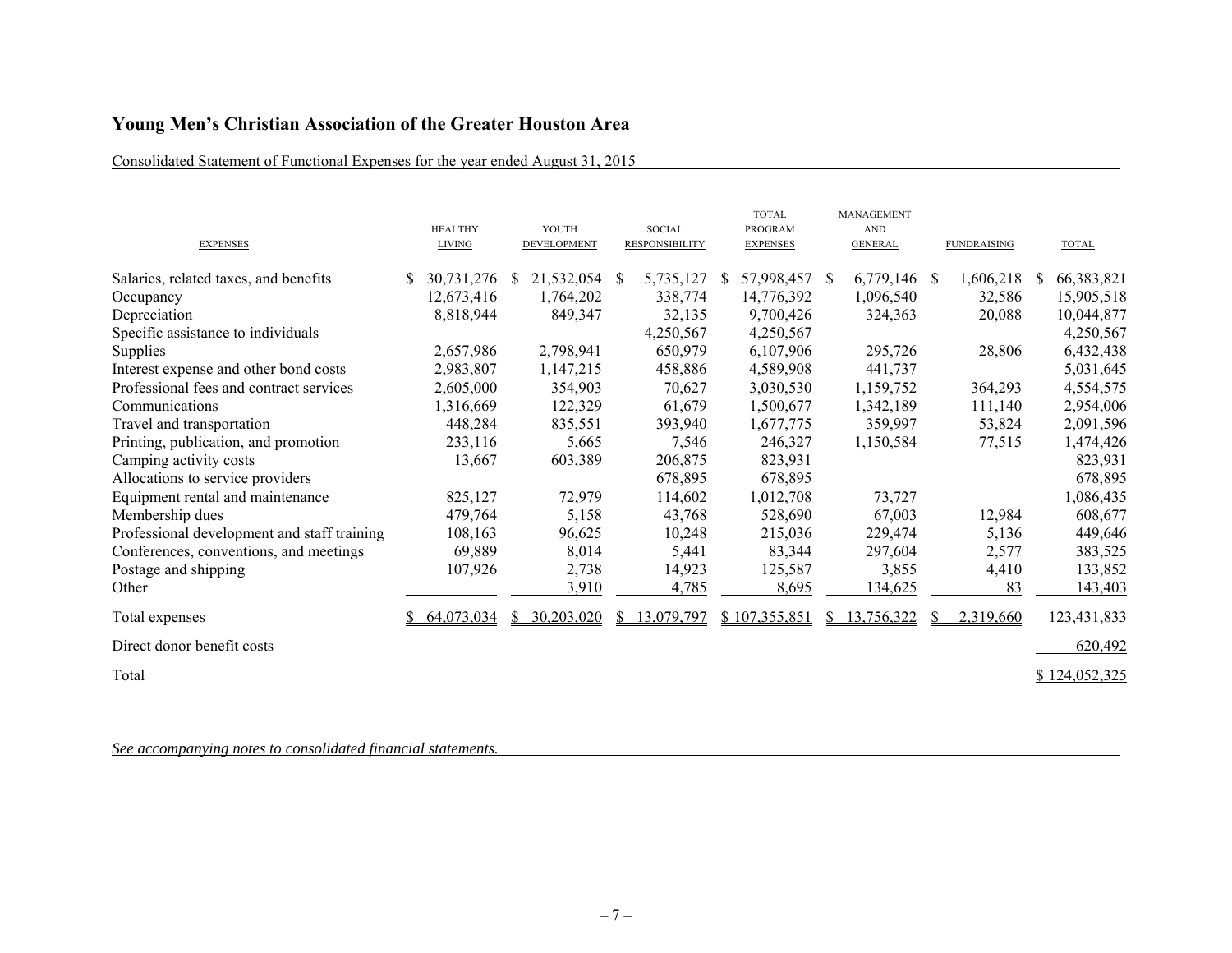# Consolidated Statement of Functional Expenses for the year ended August 31, 2015

| <b>EXPENSES</b>                             | <b>HEALTHY</b><br><b>LIVING</b> |              | YOUTH<br>DEVELOPMENT |    | <b>SOCIAL</b><br><b>RESPONSIBILITY</b> |    | <b>TOTAL</b><br><b>PROGRAM</b><br><b>EXPENSES</b> | <b>MANAGEMENT</b><br><b>AND</b><br><b>GENERAL</b> |    | <b>FUNDRAISING</b> |    | <b>TOTAL</b>  |
|---------------------------------------------|---------------------------------|--------------|----------------------|----|----------------------------------------|----|---------------------------------------------------|---------------------------------------------------|----|--------------------|----|---------------|
| Salaries, related taxes, and benefits       | 30,731,276                      | <sup>S</sup> | 21,532,054           | -S | 5,735,127                              | S. | 57,998,457 \$                                     | $6,779,146$ \$                                    |    | 1,606,218          | S. | 66,383,821    |
| Occupancy                                   | 12,673,416                      |              | 1,764,202            |    | 338,774                                |    | 14,776,392                                        | 1,096,540                                         |    | 32,586             |    | 15,905,518    |
| Depreciation                                | 8,818,944                       |              | 849,347              |    | 32,135                                 |    | 9,700,426                                         | 324,363                                           |    | 20,088             |    | 10,044,877    |
| Specific assistance to individuals          |                                 |              |                      |    | 4,250,567                              |    | 4,250,567                                         |                                                   |    |                    |    | 4,250,567     |
| Supplies                                    | 2,657,986                       |              | 2,798,941            |    | 650,979                                |    | 6,107,906                                         | 295,726                                           |    | 28,806             |    | 6,432,438     |
| Interest expense and other bond costs       | 2,983,807                       |              | 1,147,215            |    | 458,886                                |    | 4,589,908                                         | 441,737                                           |    |                    |    | 5,031,645     |
| Professional fees and contract services     | 2,605,000                       |              | 354,903              |    | 70,627                                 |    | 3,030,530                                         | 1,159,752                                         |    | 364,293            |    | 4,554,575     |
| Communications                              | 1,316,669                       |              | 122,329              |    | 61,679                                 |    | 1,500,677                                         | 1,342,189                                         |    | 111,140            |    | 2,954,006     |
| Travel and transportation                   | 448,284                         |              | 835,551              |    | 393,940                                |    | 1,677,775                                         | 359,997                                           |    | 53,824             |    | 2,091,596     |
| Printing, publication, and promotion        | 233,116                         |              | 5,665                |    | 7,546                                  |    | 246,327                                           | 1,150,584                                         |    | 77,515             |    | 1,474,426     |
| Camping activity costs                      | 13,667                          |              | 603,389              |    | 206,875                                |    | 823,931                                           |                                                   |    |                    |    | 823,931       |
| Allocations to service providers            |                                 |              |                      |    | 678,895                                |    | 678,895                                           |                                                   |    |                    |    | 678,895       |
| Equipment rental and maintenance            | 825,127                         |              | 72,979               |    | 114,602                                |    | 1,012,708                                         | 73,727                                            |    |                    |    | 1,086,435     |
| Membership dues                             | 479,764                         |              | 5,158                |    | 43,768                                 |    | 528,690                                           | 67,003                                            |    | 12,984             |    | 608,677       |
| Professional development and staff training | 108,163                         |              | 96,625               |    | 10,248                                 |    | 215,036                                           | 229,474                                           |    | 5,136              |    | 449,646       |
| Conferences, conventions, and meetings      | 69,889                          |              | 8,014                |    | 5,441                                  |    | 83,344                                            | 297,604                                           |    | 2,577              |    | 383,525       |
| Postage and shipping                        | 107,926                         |              | 2,738                |    | 14,923                                 |    | 125,587                                           | 3,855                                             |    | 4,410              |    | 133,852       |
| Other                                       |                                 |              | 3,910                |    | 4,785                                  |    | 8,695                                             | 134,625                                           |    | 83                 |    | 143,403       |
| Total expenses                              | 64,073,034                      | SS.          | 30,203,020           | S. | 13,079,797                             |    | \$107,355,851                                     | \$13,756,322                                      | S. | 2,319,660          |    | 123,431,833   |
| Direct donor benefit costs                  |                                 |              |                      |    |                                        |    |                                                   |                                                   |    |                    |    | 620,492       |
| Total                                       |                                 |              |                      |    |                                        |    |                                                   |                                                   |    |                    |    | \$124,052,325 |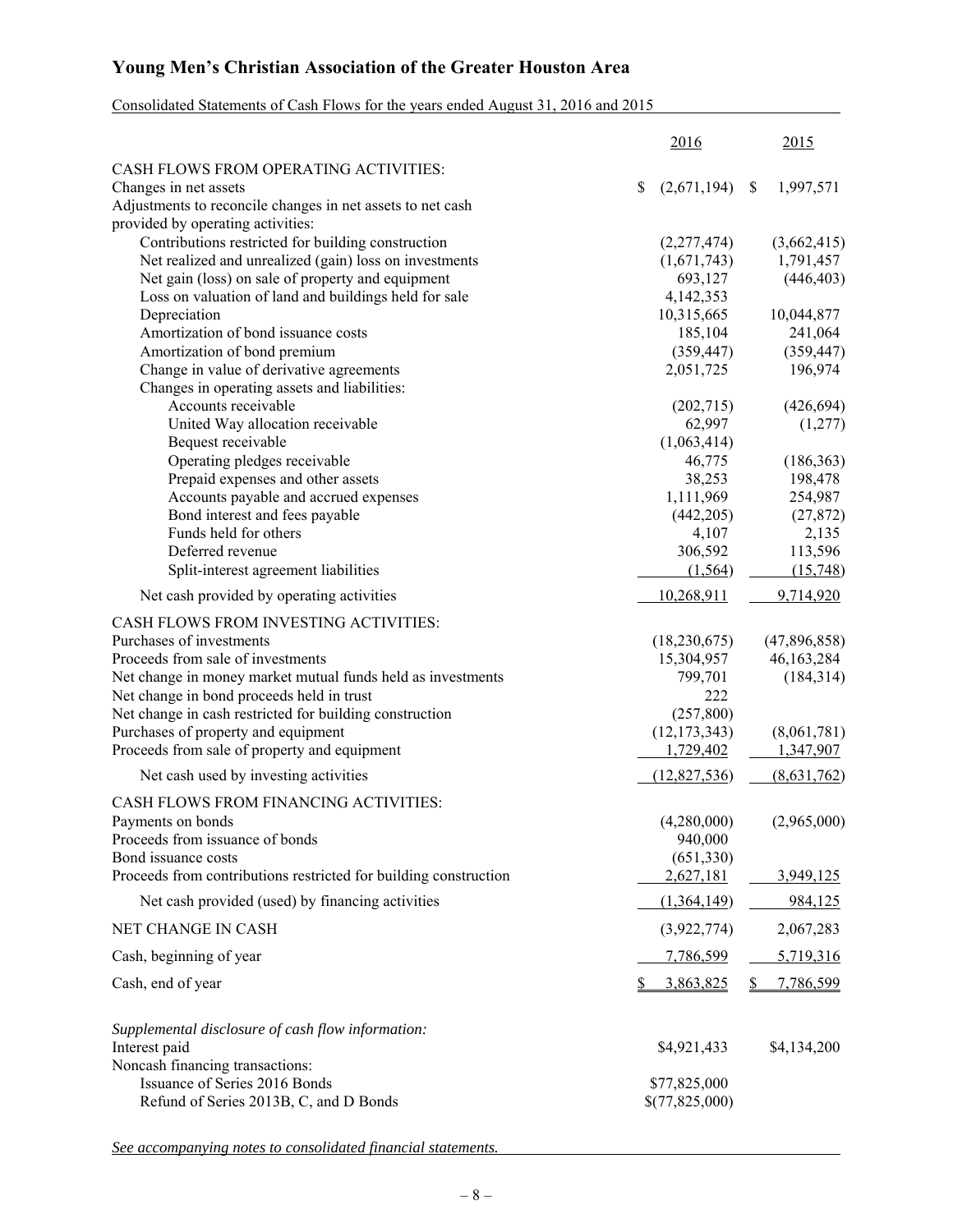# Consolidated Statements of Cash Flows for the years ended August 31, 2016 and 2015

|                                                                  | 2016              | 2015            |
|------------------------------------------------------------------|-------------------|-----------------|
| CASH FLOWS FROM OPERATING ACTIVITIES:                            |                   |                 |
| Changes in net assets                                            | \$<br>(2,671,194) | 1,997,571<br>\$ |
| Adjustments to reconcile changes in net assets to net cash       |                   |                 |
| provided by operating activities:                                |                   |                 |
| Contributions restricted for building construction               | (2,277,474)       | (3,662,415)     |
| Net realized and unrealized (gain) loss on investments           | (1,671,743)       | 1,791,457       |
| Net gain (loss) on sale of property and equipment                | 693,127           | (446, 403)      |
| Loss on valuation of land and buildings held for sale            | 4,142,353         |                 |
| Depreciation                                                     | 10,315,665        | 10,044,877      |
| Amortization of bond issuance costs                              | 185,104           | 241,064         |
| Amortization of bond premium                                     | (359, 447)        | (359, 447)      |
| Change in value of derivative agreements                         | 2,051,725         | 196,974         |
| Changes in operating assets and liabilities:                     |                   |                 |
| Accounts receivable                                              | (202, 715)        | (426, 694)      |
| United Way allocation receivable                                 | 62,997            | (1,277)         |
| Bequest receivable                                               | (1,063,414)       |                 |
| Operating pledges receivable                                     | 46,775            | (186, 363)      |
| Prepaid expenses and other assets                                | 38,253            | 198,478         |
| Accounts payable and accrued expenses                            | 1,111,969         | 254,987         |
| Bond interest and fees payable                                   | (442, 205)        | (27, 872)       |
| Funds held for others                                            | 4,107             | 2,135           |
| Deferred revenue                                                 | 306,592           | 113,596         |
| Split-interest agreement liabilities                             | (1, 564)          | (15,748)        |
| Net cash provided by operating activities                        | 10,268,911        | 9,714,920       |
| CASH FLOWS FROM INVESTING ACTIVITIES:                            |                   |                 |
| Purchases of investments                                         | (18, 230, 675)    | (47,896,858)    |
| Proceeds from sale of investments                                | 15,304,957        | 46,163,284      |
| Net change in money market mutual funds held as investments      | 799,701           | (184, 314)      |
| Net change in bond proceeds held in trust                        | 222               |                 |
| Net change in cash restricted for building construction          | (257,800)         |                 |
| Purchases of property and equipment                              | (12, 173, 343)    | (8,061,781)     |
| Proceeds from sale of property and equipment                     | 1,729,402         | 1,347,907       |
| Net cash used by investing activities                            | (12,827,536)      | (8,631,762)     |
| CASH FLOWS FROM FINANCING ACTIVITIES:                            |                   |                 |
| Payments on bonds                                                | (4,280,000)       | (2,965,000)     |
| Proceeds from issuance of bonds                                  | 940,000           |                 |
| Bond issuance costs                                              | (651,330)         |                 |
| Proceeds from contributions restricted for building construction | 2,627,181         | 3,949,125       |
| Net cash provided (used) by financing activities                 | (1,364,149)       | 984,125         |
| NET CHANGE IN CASH                                               | (3,922,774)       | 2,067,283       |
| Cash, beginning of year                                          | 7,786,599         | 5,719,316       |
|                                                                  |                   |                 |
| Cash, end of year                                                | 3,863,825         | 7,786,599       |
| Supplemental disclosure of cash flow information:                |                   |                 |
| Interest paid                                                    | \$4,921,433       | \$4,134,200     |
| Noncash financing transactions:                                  |                   |                 |
| Issuance of Series 2016 Bonds                                    | \$77,825,000      |                 |
| Refund of Series 2013B, C, and D Bonds                           | \$(77,825,000)    |                 |
|                                                                  |                   |                 |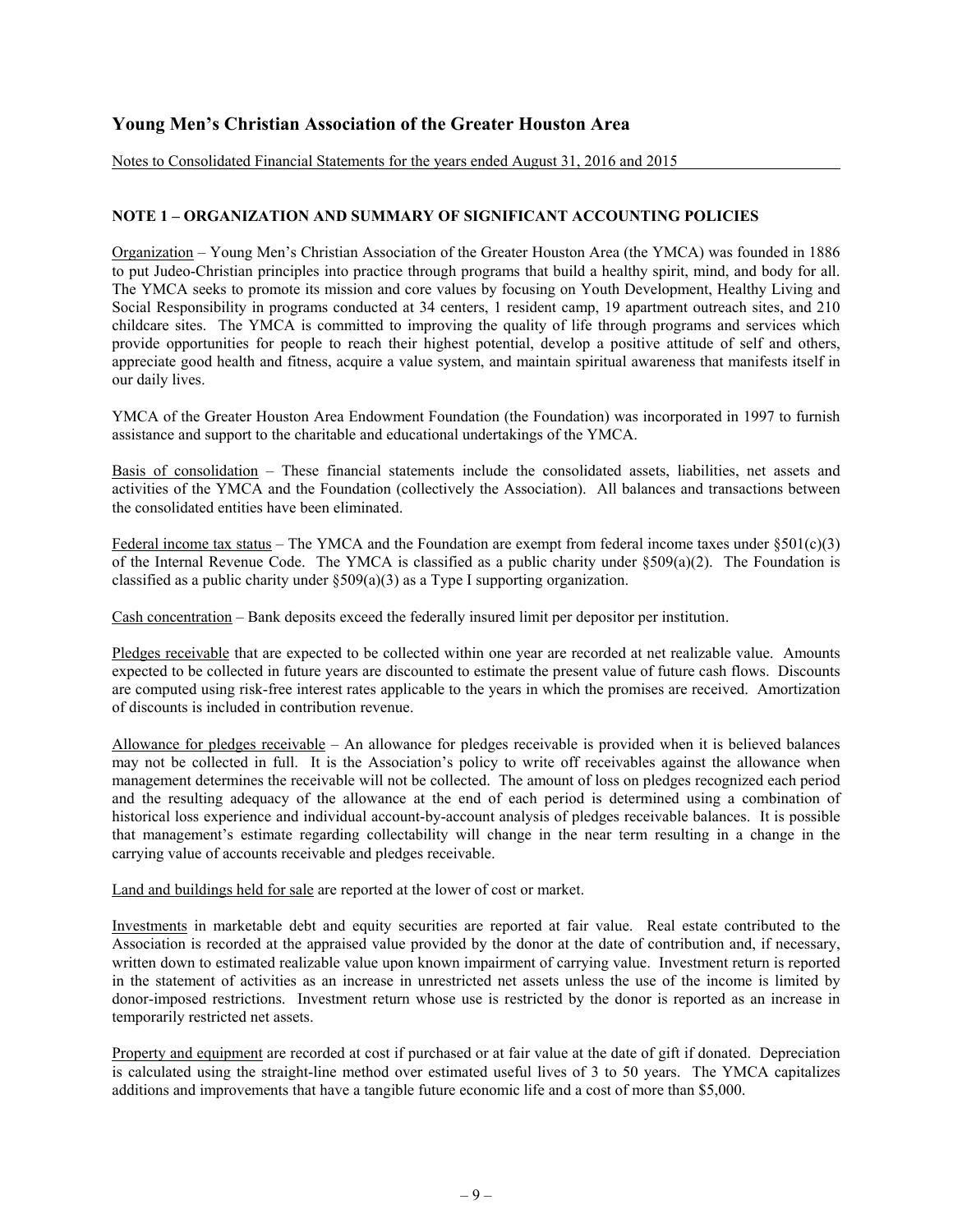Notes to Consolidated Financial Statements for the years ended August 31, 2016 and 2015

## **NOTE 1 – ORGANIZATION AND SUMMARY OF SIGNIFICANT ACCOUNTING POLICIES**

Organization – Young Men's Christian Association of the Greater Houston Area (the YMCA) was founded in 1886 to put Judeo-Christian principles into practice through programs that build a healthy spirit, mind, and body for all. The YMCA seeks to promote its mission and core values by focusing on Youth Development, Healthy Living and Social Responsibility in programs conducted at 34 centers, 1 resident camp, 19 apartment outreach sites, and 210 childcare sites. The YMCA is committed to improving the quality of life through programs and services which provide opportunities for people to reach their highest potential, develop a positive attitude of self and others, appreciate good health and fitness, acquire a value system, and maintain spiritual awareness that manifests itself in our daily lives.

YMCA of the Greater Houston Area Endowment Foundation (the Foundation) was incorporated in 1997 to furnish assistance and support to the charitable and educational undertakings of the YMCA.

Basis of consolidation – These financial statements include the consolidated assets, liabilities, net assets and activities of the YMCA and the Foundation (collectively the Association). All balances and transactions between the consolidated entities have been eliminated.

Federal income tax status – The YMCA and the Foundation are exempt from federal income taxes under  $\S 501(c)(3)$ of the Internal Revenue Code. The YMCA is classified as a public charity under  $$509(a)(2)$ . The Foundation is classified as a public charity under §509(a)(3) as a Type I supporting organization.

Cash concentration – Bank deposits exceed the federally insured limit per depositor per institution.

Pledges receivable that are expected to be collected within one year are recorded at net realizable value. Amounts expected to be collected in future years are discounted to estimate the present value of future cash flows. Discounts are computed using risk-free interest rates applicable to the years in which the promises are received. Amortization of discounts is included in contribution revenue.

Allowance for pledges receivable – An allowance for pledges receivable is provided when it is believed balances may not be collected in full. It is the Association's policy to write off receivables against the allowance when management determines the receivable will not be collected. The amount of loss on pledges recognized each period and the resulting adequacy of the allowance at the end of each period is determined using a combination of historical loss experience and individual account-by-account analysis of pledges receivable balances. It is possible that management's estimate regarding collectability will change in the near term resulting in a change in the carrying value of accounts receivable and pledges receivable.

Land and buildings held for sale are reported at the lower of cost or market.

Investments in marketable debt and equity securities are reported at fair value. Real estate contributed to the Association is recorded at the appraised value provided by the donor at the date of contribution and, if necessary, written down to estimated realizable value upon known impairment of carrying value. Investment return is reported in the statement of activities as an increase in unrestricted net assets unless the use of the income is limited by donor-imposed restrictions. Investment return whose use is restricted by the donor is reported as an increase in temporarily restricted net assets.

Property and equipment are recorded at cost if purchased or at fair value at the date of gift if donated. Depreciation is calculated using the straight-line method over estimated useful lives of 3 to 50 years. The YMCA capitalizes additions and improvements that have a tangible future economic life and a cost of more than \$5,000.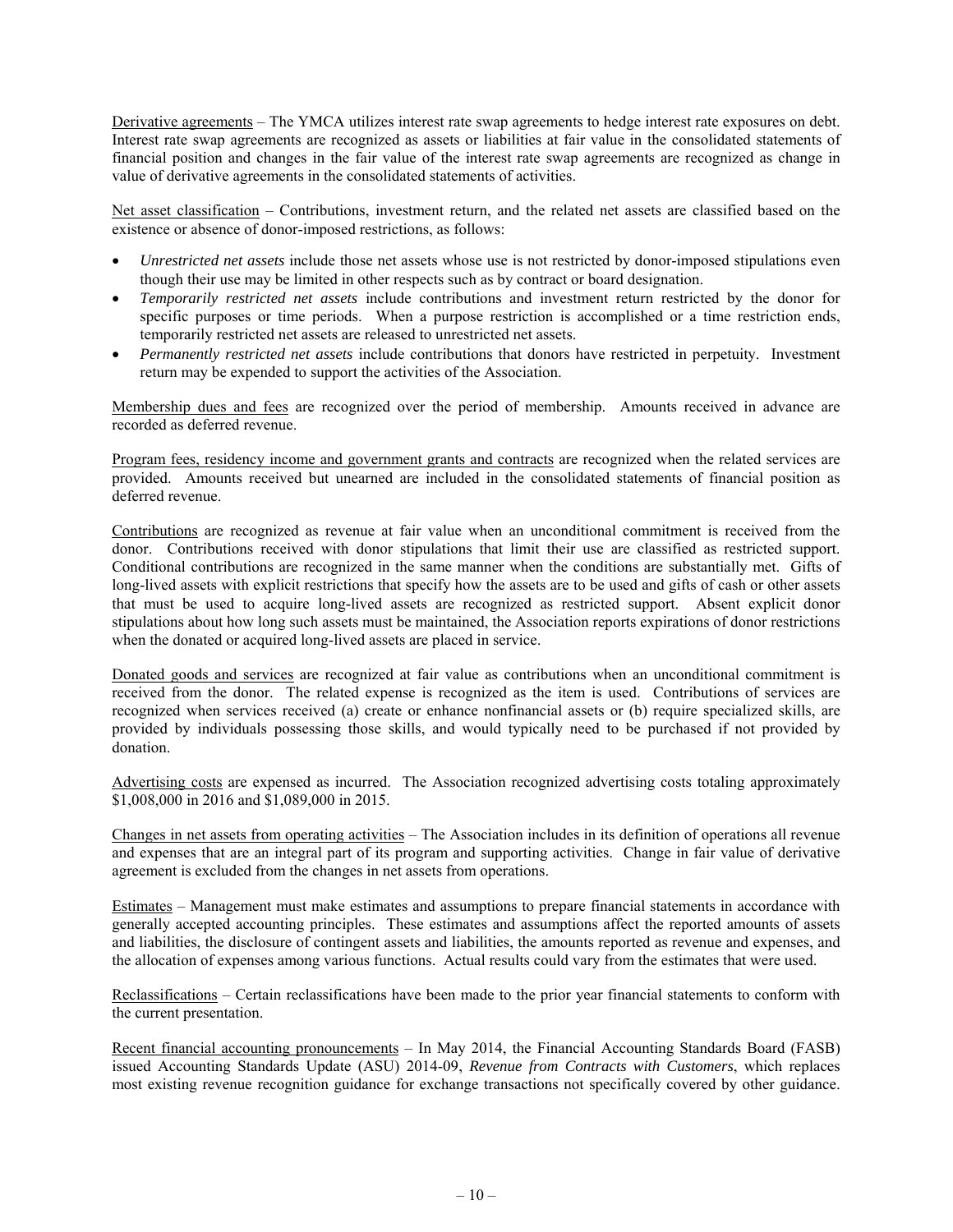Derivative agreements – The YMCA utilizes interest rate swap agreements to hedge interest rate exposures on debt. Interest rate swap agreements are recognized as assets or liabilities at fair value in the consolidated statements of financial position and changes in the fair value of the interest rate swap agreements are recognized as change in value of derivative agreements in the consolidated statements of activities.

Net asset classification – Contributions, investment return, and the related net assets are classified based on the existence or absence of donor-imposed restrictions, as follows:

- *Unrestricted net assets* include those net assets whose use is not restricted by donor-imposed stipulations even though their use may be limited in other respects such as by contract or board designation.
- *Temporarily restricted net assets* include contributions and investment return restricted by the donor for specific purposes or time periods. When a purpose restriction is accomplished or a time restriction ends, temporarily restricted net assets are released to unrestricted net assets.
- *Permanently restricted net assets* include contributions that donors have restricted in perpetuity. Investment return may be expended to support the activities of the Association.

Membership dues and fees are recognized over the period of membership. Amounts received in advance are recorded as deferred revenue.

Program fees, residency income and government grants and contracts are recognized when the related services are provided. Amounts received but unearned are included in the consolidated statements of financial position as deferred revenue.

Contributions are recognized as revenue at fair value when an unconditional commitment is received from the donor. Contributions received with donor stipulations that limit their use are classified as restricted support. Conditional contributions are recognized in the same manner when the conditions are substantially met. Gifts of long-lived assets with explicit restrictions that specify how the assets are to be used and gifts of cash or other assets that must be used to acquire long-lived assets are recognized as restricted support. Absent explicit donor stipulations about how long such assets must be maintained, the Association reports expirations of donor restrictions when the donated or acquired long-lived assets are placed in service.

Donated goods and services are recognized at fair value as contributions when an unconditional commitment is received from the donor. The related expense is recognized as the item is used. Contributions of services are recognized when services received (a) create or enhance nonfinancial assets or (b) require specialized skills, are provided by individuals possessing those skills, and would typically need to be purchased if not provided by donation.

Advertising costs are expensed as incurred. The Association recognized advertising costs totaling approximately \$1,008,000 in 2016 and \$1,089,000 in 2015.

Changes in net assets from operating activities – The Association includes in its definition of operations all revenue and expenses that are an integral part of its program and supporting activities. Change in fair value of derivative agreement is excluded from the changes in net assets from operations.

Estimates – Management must make estimates and assumptions to prepare financial statements in accordance with generally accepted accounting principles. These estimates and assumptions affect the reported amounts of assets and liabilities, the disclosure of contingent assets and liabilities, the amounts reported as revenue and expenses, and the allocation of expenses among various functions. Actual results could vary from the estimates that were used.

Reclassifications – Certain reclassifications have been made to the prior year financial statements to conform with the current presentation.

Recent financial accounting pronouncements – In May 2014, the Financial Accounting Standards Board (FASB) issued Accounting Standards Update (ASU) 2014-09, *Revenue from Contracts with Customers*, which replaces most existing revenue recognition guidance for exchange transactions not specifically covered by other guidance.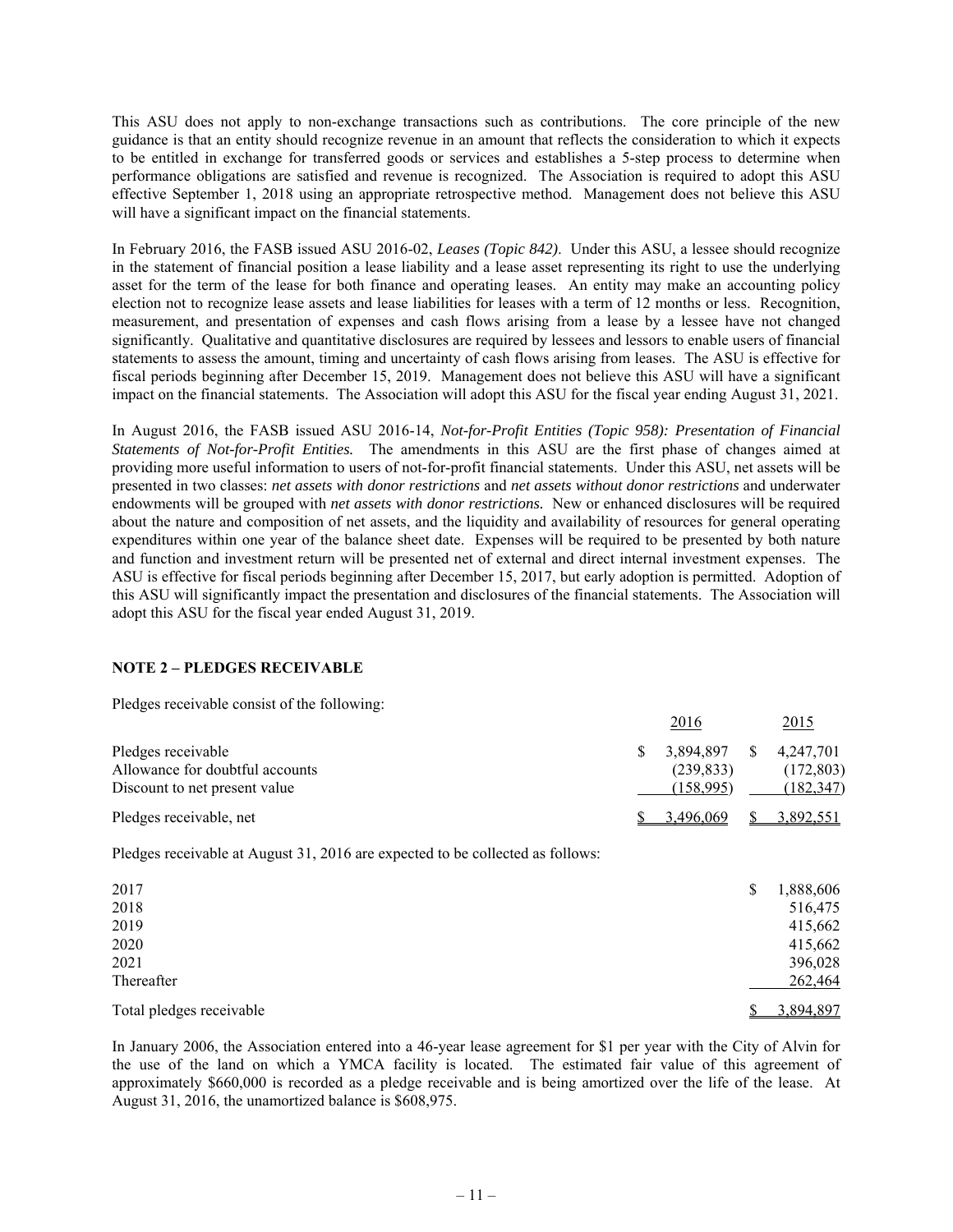This ASU does not apply to non-exchange transactions such as contributions. The core principle of the new guidance is that an entity should recognize revenue in an amount that reflects the consideration to which it expects to be entitled in exchange for transferred goods or services and establishes a 5-step process to determine when performance obligations are satisfied and revenue is recognized. The Association is required to adopt this ASU effective September 1, 2018 using an appropriate retrospective method. Management does not believe this ASU will have a significant impact on the financial statements.

In February 2016, the FASB issued ASU 2016-02, *Leases (Topic 842)*. Under this ASU, a lessee should recognize in the statement of financial position a lease liability and a lease asset representing its right to use the underlying asset for the term of the lease for both finance and operating leases. An entity may make an accounting policy election not to recognize lease assets and lease liabilities for leases with a term of 12 months or less. Recognition, measurement, and presentation of expenses and cash flows arising from a lease by a lessee have not changed significantly. Qualitative and quantitative disclosures are required by lessees and lessors to enable users of financial statements to assess the amount, timing and uncertainty of cash flows arising from leases. The ASU is effective for fiscal periods beginning after December 15, 2019. Management does not believe this ASU will have a significant impact on the financial statements. The Association will adopt this ASU for the fiscal year ending August 31, 2021.

In August 2016, the FASB issued ASU 2016-14, *Not-for-Profit Entities (Topic 958): Presentation of Financial Statements of Not-for-Profit Entities.* The amendments in this ASU are the first phase of changes aimed at providing more useful information to users of not-for-profit financial statements. Under this ASU, net assets will be presented in two classes: *net assets with donor restrictions* and *net assets without donor restrictions* and underwater endowments will be grouped with *net assets with donor restrictions.* New or enhanced disclosures will be required about the nature and composition of net assets, and the liquidity and availability of resources for general operating expenditures within one year of the balance sheet date. Expenses will be required to be presented by both nature and function and investment return will be presented net of external and direct internal investment expenses. The ASU is effective for fiscal periods beginning after December 15, 2017, but early adoption is permitted. Adoption of this ASU will significantly impact the presentation and disclosures of the financial statements. The Association will adopt this ASU for the fiscal year ended August 31, 2019.

## **NOTE 2 – PLEDGES RECEIVABLE**

Pledges receivable consist of the following:

|                                 |    | <u> 2016</u> |    | <u>2015</u> |
|---------------------------------|----|--------------|----|-------------|
| Pledges receivable              | S. | 3.894.897    | S. | 4,247,701   |
| Allowance for doubtful accounts |    | (239.833)    |    | (172, 803)  |
| Discount to net present value   |    | (158.995)    |    | (182, 347)  |
| Pledges receivable, net         |    | 3.496.069    |    | 3,892,551   |

Pledges receivable at August 31, 2016 are expected to be collected as follows:

| 2017                     | S | 1,888,606 |
|--------------------------|---|-----------|
| 2018                     |   | 516,475   |
| 2019                     |   | 415,662   |
| 2020                     |   | 415,662   |
| 2021                     |   | 396,028   |
| Thereafter               |   | 262,464   |
| Total pledges receivable |   | 3,894,897 |
|                          |   |           |

In January 2006, the Association entered into a 46-year lease agreement for \$1 per year with the City of Alvin for the use of the land on which a YMCA facility is located. The estimated fair value of this agreement of approximately \$660,000 is recorded as a pledge receivable and is being amortized over the life of the lease. At August 31, 2016, the unamortized balance is \$608,975.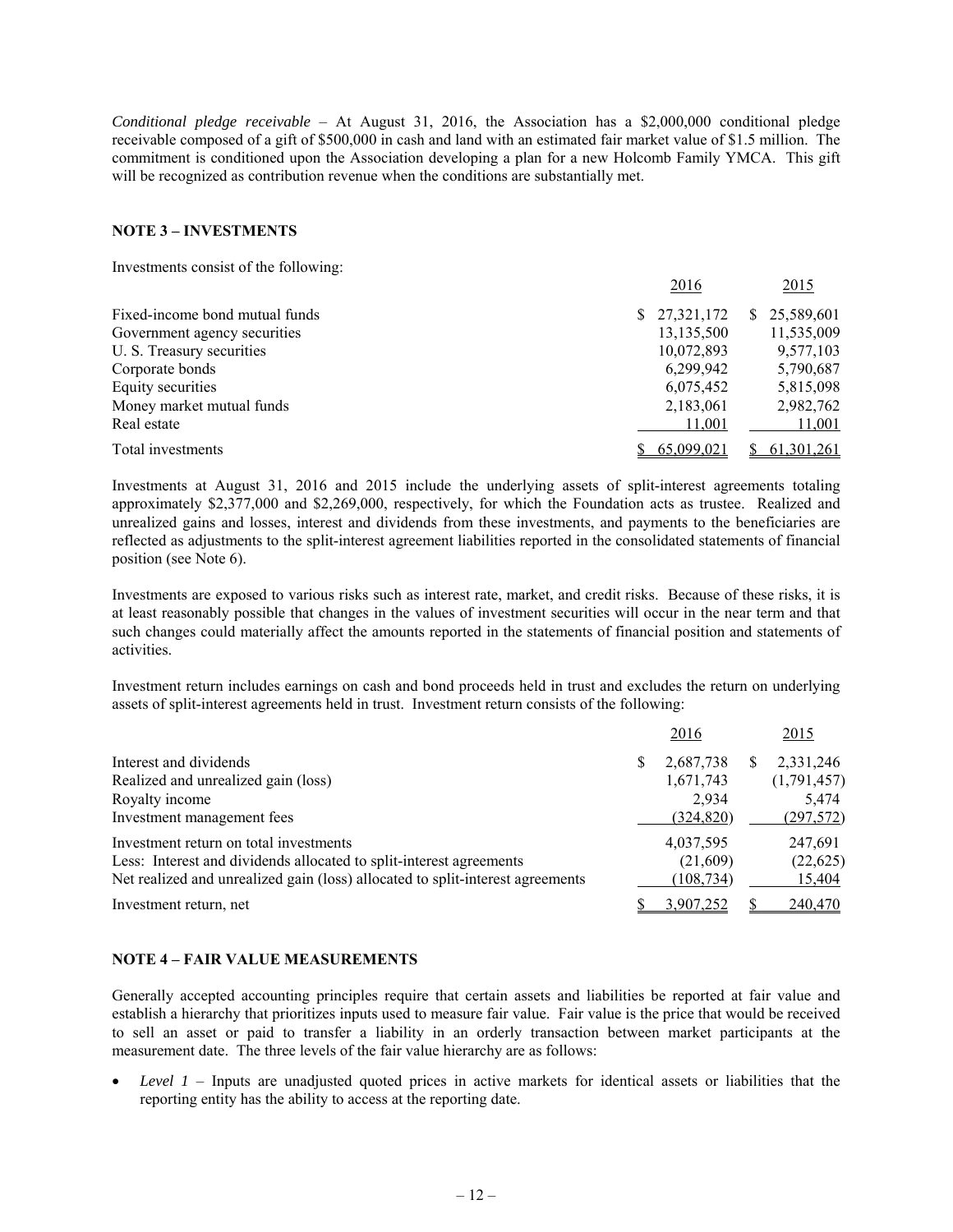*Conditional pledge receivable* – At August 31, 2016, the Association has a \$2,000,000 conditional pledge receivable composed of a gift of \$500,000 in cash and land with an estimated fair market value of \$1.5 million. The commitment is conditioned upon the Association developing a plan for a new Holcomb Family YMCA. This gift will be recognized as contribution revenue when the conditions are substantially met.

### **NOTE 3 – INVESTMENTS**

Investments consist of the following:

|                                | 2016         | 2015             |
|--------------------------------|--------------|------------------|
| Fixed-income bond mutual funds | \$27,321,172 | 25,589,601<br>S. |
| Government agency securities   | 13,135,500   | 11,535,009       |
| U. S. Treasury securities      | 10,072,893   | 9,577,103        |
| Corporate bonds                | 6,299,942    | 5,790,687        |
| Equity securities              | 6,075,452    | 5,815,098        |
| Money market mutual funds      | 2,183,061    | 2,982,762        |
| Real estate                    | 11,001       | 11,001           |
| Total investments              | 65,099,021   | 61, 301, 261     |

Investments at August 31, 2016 and 2015 include the underlying assets of split-interest agreements totaling approximately \$2,377,000 and \$2,269,000, respectively, for which the Foundation acts as trustee. Realized and unrealized gains and losses, interest and dividends from these investments, and payments to the beneficiaries are reflected as adjustments to the split-interest agreement liabilities reported in the consolidated statements of financial position (see Note 6).

Investments are exposed to various risks such as interest rate, market, and credit risks. Because of these risks, it is at least reasonably possible that changes in the values of investment securities will occur in the near term and that such changes could materially affect the amounts reported in the statements of financial position and statements of activities.

Investment return includes earnings on cash and bond proceeds held in trust and excludes the return on underlying assets of split-interest agreements held in trust. Investment return consists of the following:

|                                                                                | 2016       | 2015        |
|--------------------------------------------------------------------------------|------------|-------------|
| Interest and dividends                                                         | 2,687,738  | 2,331,246   |
| Realized and unrealized gain (loss)                                            | 1,671,743  | (1,791,457) |
| Royalty income                                                                 | 2.934      | 5,474       |
| Investment management fees                                                     | (324, 820) | (297,572)   |
| Investment return on total investments                                         | 4,037,595  | 247,691     |
| Less: Interest and dividends allocated to split-interest agreements            | (21,609)   | (22, 625)   |
| Net realized and unrealized gain (loss) allocated to split-interest agreements | (108, 734) | 15,404      |
| Investment return, net                                                         | 3.907.252  | 240,470     |

#### **NOTE 4 – FAIR VALUE MEASUREMENTS**

Generally accepted accounting principles require that certain assets and liabilities be reported at fair value and establish a hierarchy that prioritizes inputs used to measure fair value. Fair value is the price that would be received to sell an asset or paid to transfer a liability in an orderly transaction between market participants at the measurement date. The three levels of the fair value hierarchy are as follows:

 *Level 1* – Inputs are unadjusted quoted prices in active markets for identical assets or liabilities that the reporting entity has the ability to access at the reporting date.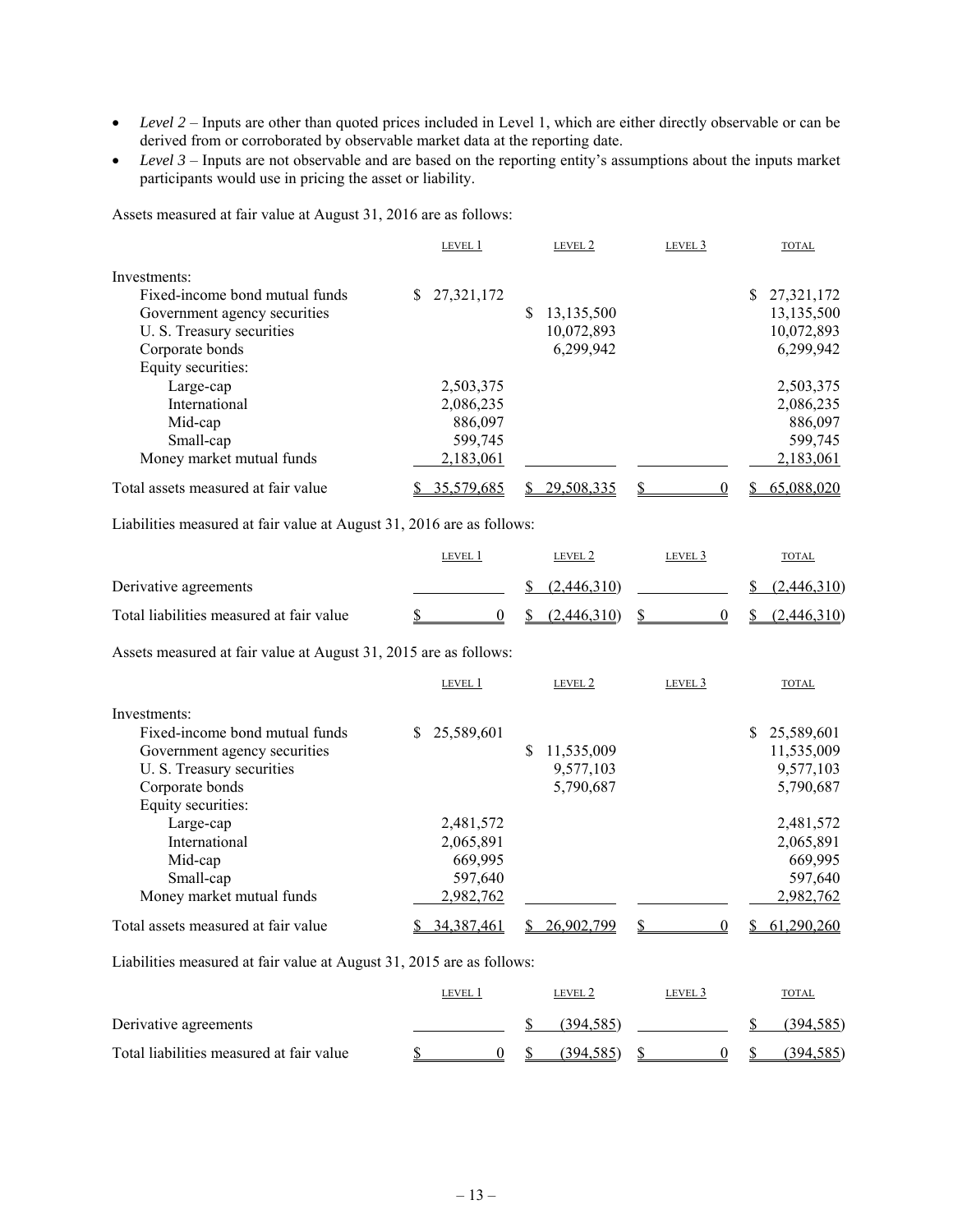- *Level 2* Inputs are other than quoted prices included in Level 1, which are either directly observable or can be derived from or corroborated by observable market data at the reporting date.
- *Level 3* Inputs are not observable and are based on the reporting entity's assumptions about the inputs market participants would use in pricing the asset or liability.

Assets measured at fair value at August 31, 2016 are as follows:

|                                     | LEVEL 1    | LEVEL 2         | LEVEL 3 | <b>TOTAL</b> |
|-------------------------------------|------------|-----------------|---------|--------------|
| Investments:                        |            |                 |         |              |
| Fixed-income bond mutual funds      | 27,321,172 |                 |         | \$27,321,172 |
| Government agency securities        |            | 13,135,500<br>S |         | 13,135,500   |
| U. S. Treasury securities           |            | 10,072,893      |         | 10,072,893   |
| Corporate bonds                     |            | 6,299,942       |         | 6,299,942    |
| Equity securities:                  |            |                 |         |              |
| Large-cap                           | 2,503,375  |                 |         | 2,503,375    |
| International                       | 2,086,235  |                 |         | 2,086,235    |
| Mid-cap                             | 886,097    |                 |         | 886,097      |
| Small-cap                           | 599,745    |                 |         | 599,745      |
| Money market mutual funds           | 2,183,061  |                 |         | 2,183,061    |
| Total assets measured at fair value | 35,579,685 | 29,508,335      | 0       | 65,088,020   |

Liabilities measured at fair value at August 31, 2016 are as follows:

|                                          | level 1 |      | LEVEL 2     | level 3 | <b>TOTAL</b>            |
|------------------------------------------|---------|------|-------------|---------|-------------------------|
| Derivative agreements                    |         |      | (2,446,310) |         | (2,446,310)             |
| Total liabilities measured at fair value |         | -SS- | (2,446,310) |         | $\frac{(2,446,310)}{2}$ |

Assets measured at fair value at August 31, 2015 are as follows:

|                                     | LEVEL 1          | LEVEL 2         | LEVEL 3 | <b>TOTAL</b> |
|-------------------------------------|------------------|-----------------|---------|--------------|
| Investments:                        |                  |                 |         |              |
| Fixed-income bond mutual funds      | 25,589,601<br>S. |                 |         | \$25,589,601 |
| Government agency securities        |                  | 11,535,009<br>S |         | 11,535,009   |
| U. S. Treasury securities           |                  | 9,577,103       |         | 9,577,103    |
| Corporate bonds                     |                  | 5,790,687       |         | 5,790,687    |
| Equity securities:                  |                  |                 |         |              |
| Large-cap                           | 2,481,572        |                 |         | 2,481,572    |
| International                       | 2,065,891        |                 |         | 2,065,891    |
| Mid-cap                             | 669.995          |                 |         | 669,995      |
| Small-cap                           | 597,640          |                 |         | 597,640      |
| Money market mutual funds           | 2,982,762        |                 |         | 2,982,762    |
| Total assets measured at fair value | 34, 387, 461     | 26,902,799      |         | 61,290,260   |

Liabilities measured at fair value at August 31, 2015 are as follows:

|                                          | LEVEL |  | LEVEL 2   | level 3 | <b>TOTAL</b> |
|------------------------------------------|-------|--|-----------|---------|--------------|
| Derivative agreements                    |       |  | (394.585) |         | (394.585)    |
| Total liabilities measured at fair value |       |  | (394.585) |         | (394, 585)   |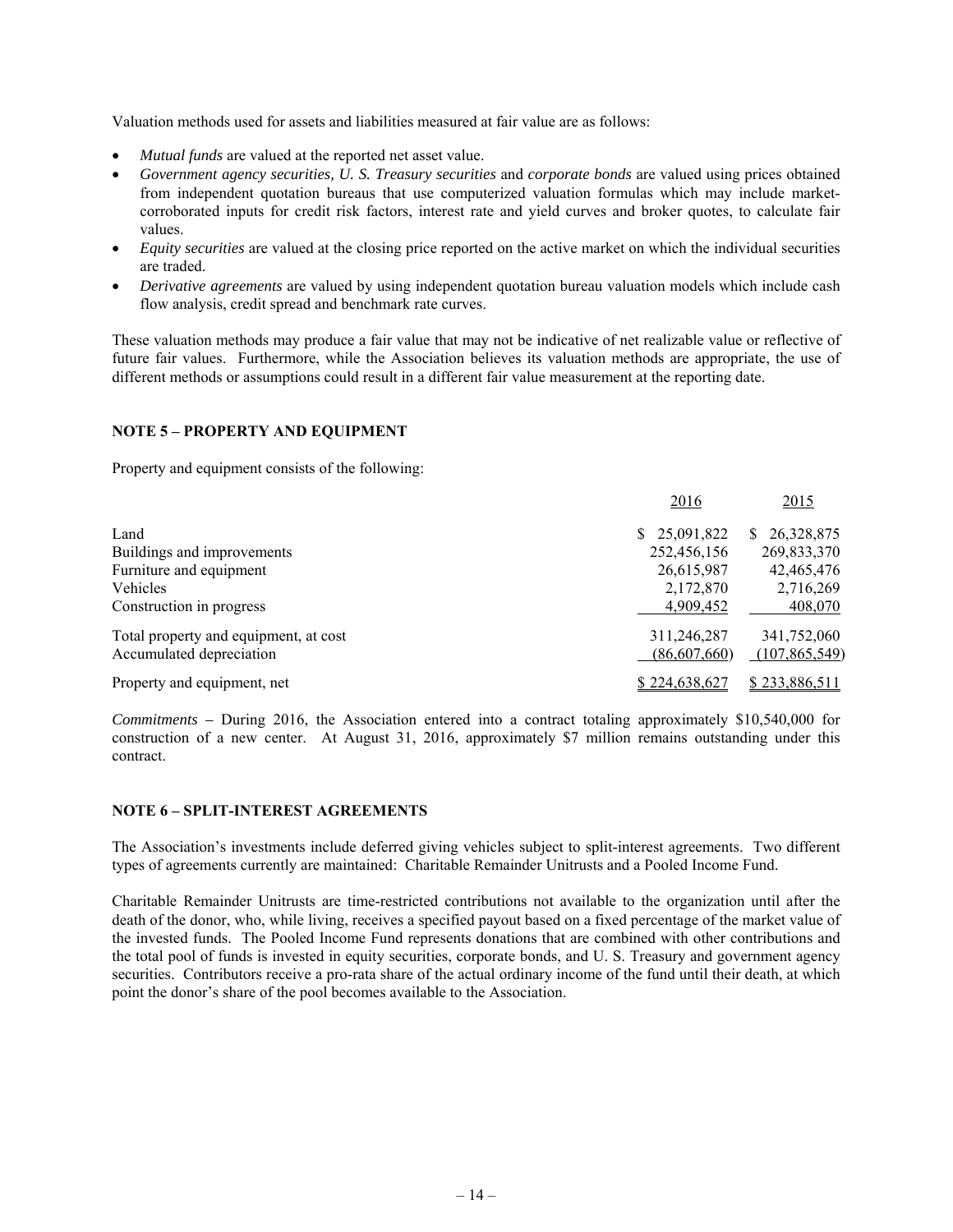Valuation methods used for assets and liabilities measured at fair value are as follows:

- *Mutual funds* are valued at the reported net asset value.
- *Government agency securities, U. S. Treasury securities* and *corporate bonds* are valued using prices obtained from independent quotation bureaus that use computerized valuation formulas which may include marketcorroborated inputs for credit risk factors, interest rate and yield curves and broker quotes, to calculate fair values.
- *Equity securities* are valued at the closing price reported on the active market on which the individual securities are traded.
- *Derivative agreements* are valued by using independent quotation bureau valuation models which include cash flow analysis, credit spread and benchmark rate curves.

These valuation methods may produce a fair value that may not be indicative of net realizable value or reflective of future fair values. Furthermore, while the Association believes its valuation methods are appropriate, the use of different methods or assumptions could result in a different fair value measurement at the reporting date.

## **NOTE 5 – PROPERTY AND EQUIPMENT**

Property and equipment consists of the following:

|                                       | 2016          | 2015             |
|---------------------------------------|---------------|------------------|
| Land                                  | \$25,091,822  | 26,328,875<br>S. |
| Buildings and improvements            | 252,456,156   | 269,833,370      |
| Furniture and equipment               | 26,615,987    | 42,465,476       |
| Vehicles                              | 2,172,870     | 2,716,269        |
| Construction in progress              | 4,909,452     | 408,070          |
| Total property and equipment, at cost | 311,246,287   | 341,752,060      |
| Accumulated depreciation              | (86,607,660)  | (107,865,549)    |
| Property and equipment, net           | \$224,638,627 | \$233,886,511    |

*Commitments –* During 2016, the Association entered into a contract totaling approximately \$10,540,000 for construction of a new center. At August 31, 2016, approximately \$7 million remains outstanding under this contract.

#### **NOTE 6 – SPLIT-INTEREST AGREEMENTS**

The Association's investments include deferred giving vehicles subject to split-interest agreements. Two different types of agreements currently are maintained: Charitable Remainder Unitrusts and a Pooled Income Fund.

Charitable Remainder Unitrusts are time-restricted contributions not available to the organization until after the death of the donor, who, while living, receives a specified payout based on a fixed percentage of the market value of the invested funds. The Pooled Income Fund represents donations that are combined with other contributions and the total pool of funds is invested in equity securities, corporate bonds, and U. S. Treasury and government agency securities. Contributors receive a pro-rata share of the actual ordinary income of the fund until their death, at which point the donor's share of the pool becomes available to the Association.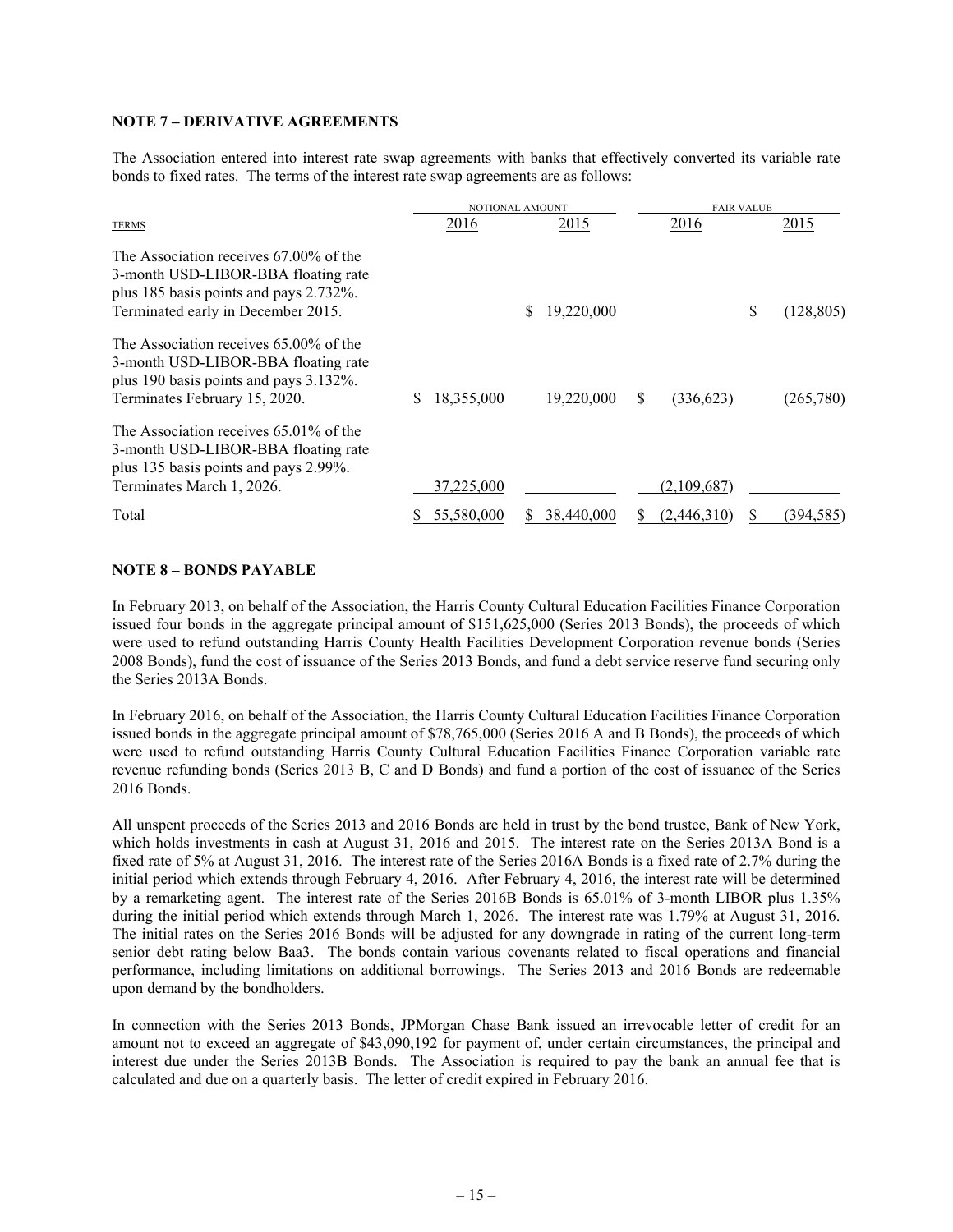### **NOTE 7 – DERIVATIVE AGREEMENTS**

The Association entered into interest rate swap agreements with banks that effectively converted its variable rate bonds to fixed rates. The terms of the interest rate swap agreements are as follows:

|                                                                                                                                                               | NOTIONAL AMOUNT |   |            | <b>FAIR VALUE</b> |             |    |            |
|---------------------------------------------------------------------------------------------------------------------------------------------------------------|-----------------|---|------------|-------------------|-------------|----|------------|
| <b>TERMS</b>                                                                                                                                                  | 2016            |   | 2015       |                   | 2016        |    | 2015       |
| The Association receives 67,00% of the<br>3-month USD-LIBOR-BBA floating rate<br>plus 185 basis points and pays 2.732%.<br>Terminated early in December 2015. |                 | S | 19,220,000 |                   |             | \$ | (128, 805) |
| The Association receives $65.00\%$ of the<br>3-month USD-LIBOR-BBA floating rate<br>plus 190 basis points and pays 3.132%.<br>Terminates February 15, 2020.   | 18,355,000      |   | 19,220,000 | <sup>S</sup>      | (336, 623)  |    | (265,780)  |
| The Association receives $65.01\%$ of the<br>3-month USD-LIBOR-BBA floating rate<br>plus 135 basis points and pays 2.99%.<br>Terminates March 1, 2026.        | 37,225,000      |   |            |                   | (2,109,687) |    |            |
| Total                                                                                                                                                         | 55,580,000      |   | 38,440,000 |                   | (2,446,310) |    | (394,585)  |

### **NOTE 8 – BONDS PAYABLE**

In February 2013, on behalf of the Association, the Harris County Cultural Education Facilities Finance Corporation issued four bonds in the aggregate principal amount of \$151,625,000 (Series 2013 Bonds), the proceeds of which were used to refund outstanding Harris County Health Facilities Development Corporation revenue bonds (Series 2008 Bonds), fund the cost of issuance of the Series 2013 Bonds, and fund a debt service reserve fund securing only the Series 2013A Bonds.

In February 2016, on behalf of the Association, the Harris County Cultural Education Facilities Finance Corporation issued bonds in the aggregate principal amount of \$78,765,000 (Series 2016 A and B Bonds), the proceeds of which were used to refund outstanding Harris County Cultural Education Facilities Finance Corporation variable rate revenue refunding bonds (Series 2013 B, C and D Bonds) and fund a portion of the cost of issuance of the Series 2016 Bonds.

All unspent proceeds of the Series 2013 and 2016 Bonds are held in trust by the bond trustee, Bank of New York, which holds investments in cash at August 31, 2016 and 2015. The interest rate on the Series 2013A Bond is a fixed rate of 5% at August 31, 2016. The interest rate of the Series 2016A Bonds is a fixed rate of 2.7% during the initial period which extends through February 4, 2016. After February 4, 2016, the interest rate will be determined by a remarketing agent. The interest rate of the Series 2016B Bonds is 65.01% of 3-month LIBOR plus 1.35% during the initial period which extends through March 1, 2026. The interest rate was 1.79% at August 31, 2016. The initial rates on the Series 2016 Bonds will be adjusted for any downgrade in rating of the current long-term senior debt rating below Baa3. The bonds contain various covenants related to fiscal operations and financial performance, including limitations on additional borrowings. The Series 2013 and 2016 Bonds are redeemable upon demand by the bondholders.

In connection with the Series 2013 Bonds, JPMorgan Chase Bank issued an irrevocable letter of credit for an amount not to exceed an aggregate of \$43,090,192 for payment of, under certain circumstances, the principal and interest due under the Series 2013B Bonds. The Association is required to pay the bank an annual fee that is calculated and due on a quarterly basis. The letter of credit expired in February 2016.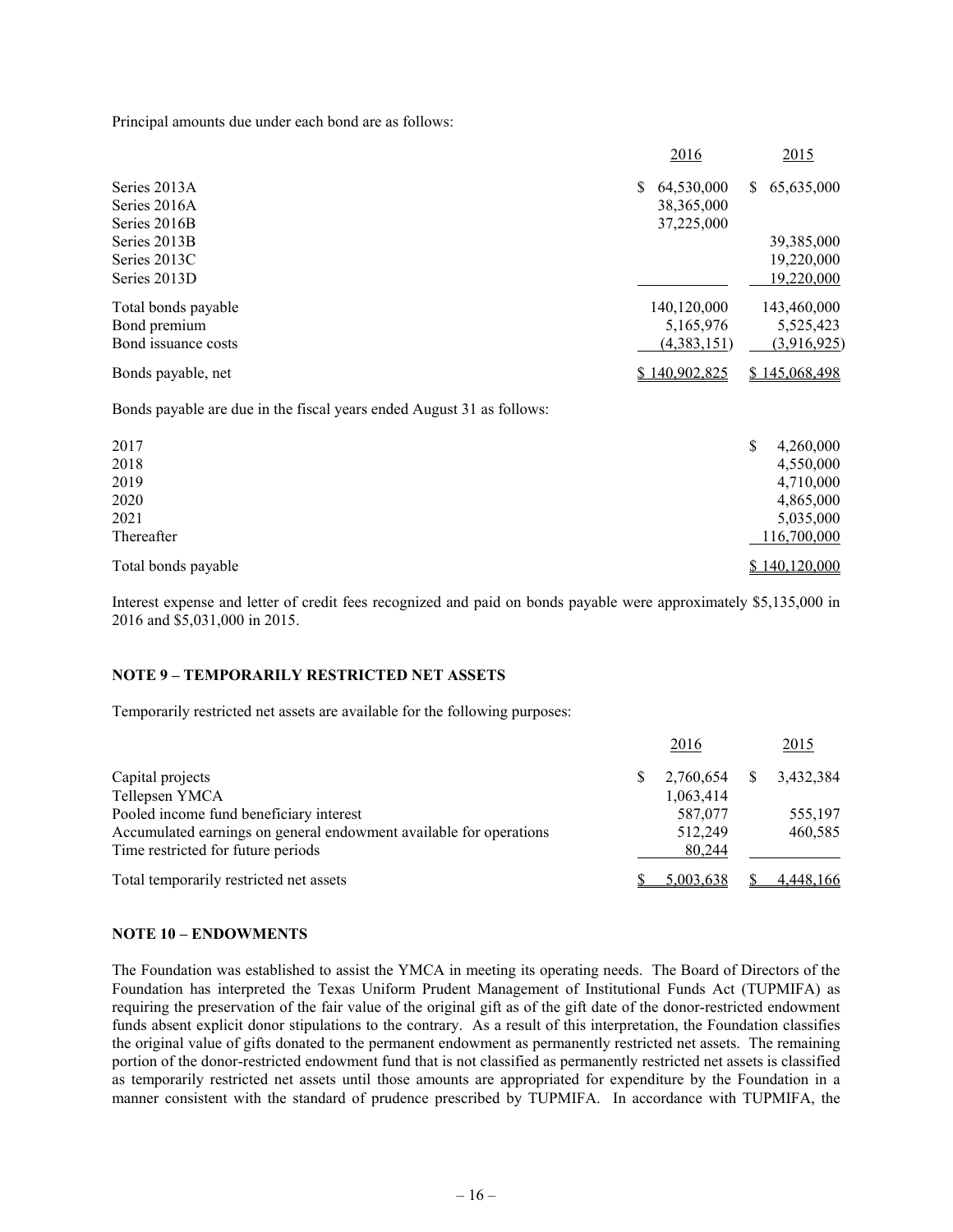Principal amounts due under each bond are as follows:

|                     | 2016             | 2015             |
|---------------------|------------------|------------------|
| Series 2013A        | 64,530,000<br>S. | 65,635,000<br>S. |
| Series 2016A        | 38, 365, 000     |                  |
| Series 2016B        | 37,225,000       |                  |
| Series 2013B        |                  | 39,385,000       |
| Series 2013C        |                  | 19,220,000       |
| Series 2013D        |                  | 19,220,000       |
| Total bonds payable | 140,120,000      | 143,460,000      |
| Bond premium        | 5,165,976        | 5,525,423        |
| Bond issuance costs | (4,383,151)      | (3,916,925)      |
| Bonds payable, net  | \$140,902,825    | \$145,068,498    |

Bonds payable are due in the fiscal years ended August 31 as follows:

| 2017                | 4,260,000<br>\$ |
|---------------------|-----------------|
| 2018                | 4,550,000       |
| 2019                | 4,710,000       |
| 2020                | 4,865,000       |
| 2021                | 5,035,000       |
| Thereafter          | 116,700,000     |
| Total bonds payable | \$140,120,000   |

Interest expense and letter of credit fees recognized and paid on bonds payable were approximately \$5,135,000 in 2016 and \$5,031,000 in 2015.

### **NOTE 9 – TEMPORARILY RESTRICTED NET ASSETS**

Temporarily restricted net assets are available for the following purposes:

|                                                                    | 2016      | 2015      |
|--------------------------------------------------------------------|-----------|-----------|
| Capital projects                                                   | 2,760,654 | 3.432.384 |
| Tellepsen YMCA                                                     | 1,063,414 |           |
| Pooled income fund beneficiary interest                            | 587,077   | 555,197   |
| Accumulated earnings on general endowment available for operations | 512,249   | 460,585   |
| Time restricted for future periods                                 | 80,244    |           |
| Total temporarily restricted net assets                            | 5,003,638 | 4,448,166 |

#### **NOTE 10 – ENDOWMENTS**

The Foundation was established to assist the YMCA in meeting its operating needs. The Board of Directors of the Foundation has interpreted the Texas Uniform Prudent Management of Institutional Funds Act (TUPMIFA) as requiring the preservation of the fair value of the original gift as of the gift date of the donor-restricted endowment funds absent explicit donor stipulations to the contrary. As a result of this interpretation, the Foundation classifies the original value of gifts donated to the permanent endowment as permanently restricted net assets. The remaining portion of the donor-restricted endowment fund that is not classified as permanently restricted net assets is classified as temporarily restricted net assets until those amounts are appropriated for expenditure by the Foundation in a manner consistent with the standard of prudence prescribed by TUPMIFA. In accordance with TUPMIFA, the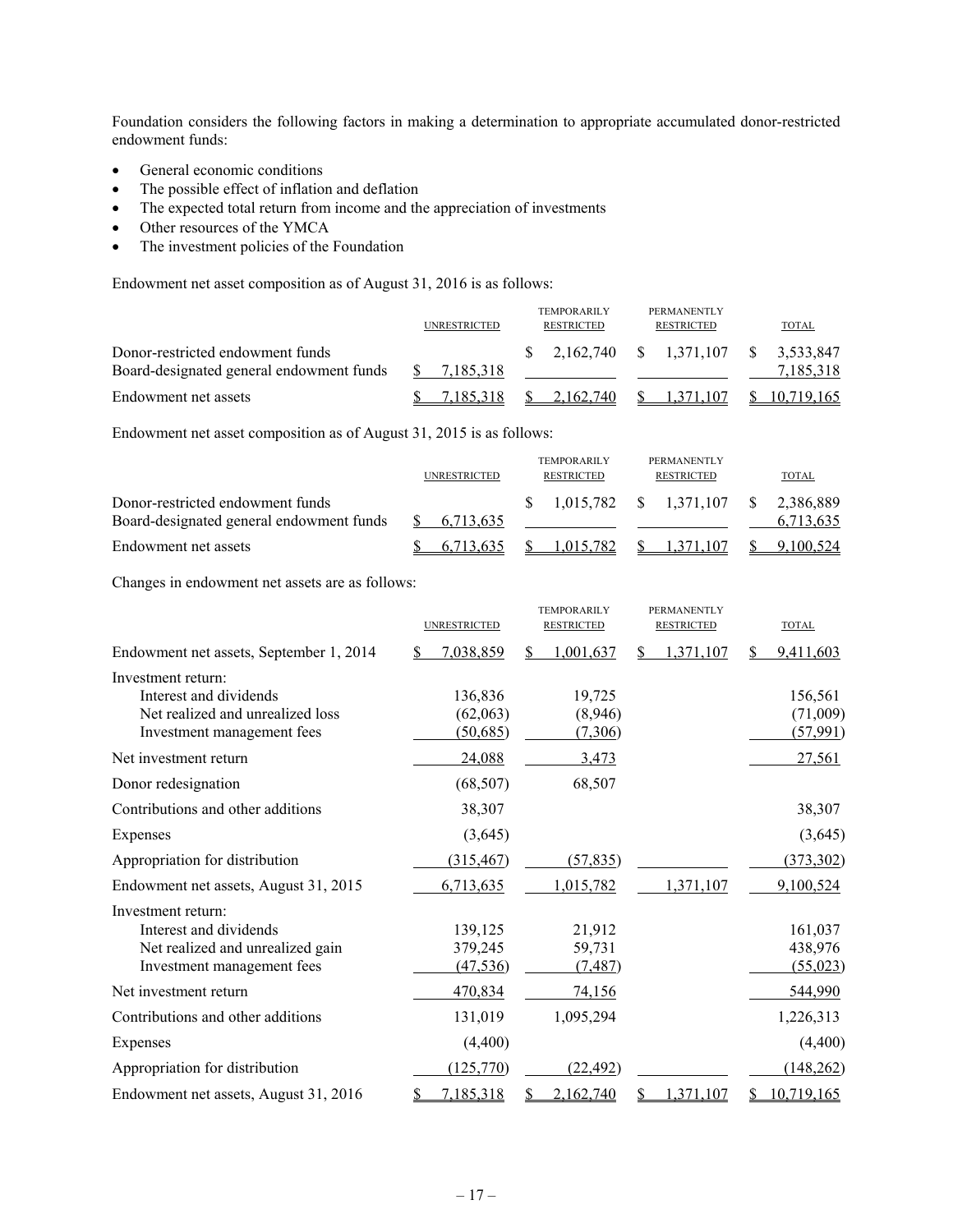Foundation considers the following factors in making a determination to appropriate accumulated donor-restricted endowment funds:

- General economic conditions
- The possible effect of inflation and deflation
- The expected total return from income and the appreciation of investments
- Other resources of the YMCA
- The investment policies of the Foundation

Endowment net asset composition as of August 31, 2016 is as follows:

|                                                                              | <b>UNRESTRICTED</b> | <b>TEMPORARILY</b><br>RESTRICTED | PERMANENTLY<br><b>RESTRICTED</b>                                     | TOTAL      |
|------------------------------------------------------------------------------|---------------------|----------------------------------|----------------------------------------------------------------------|------------|
| Donor-restricted endowment funds<br>Board-designated general endowment funds | 7.185.318           |                                  | $\frac{\$}{2.162,740}$ $\frac{\$}{1.371,107}$ $\frac{\$}{2.533,847}$ | 7.185.318  |
| Endowment net assets                                                         | 7.185.318           | 2.162.740                        | 1.371.107                                                            | 10.719.165 |

Endowment net asset composition as of August 31, 2015 is as follows:

|                                                                              | <b>UNRESTRICTED</b> | <b>TEMPORARILY</b><br>RESTRICTED | <b>PERMANENTLY</b><br><b>RESTRICTED</b> | TOTAL                  |
|------------------------------------------------------------------------------|---------------------|----------------------------------|-----------------------------------------|------------------------|
| Donor-restricted endowment funds<br>Board-designated general endowment funds | 6.713.635           |                                  |                                         | 2.386.889<br>6,713,635 |
| Endowment net assets                                                         | 6.713.635           | 1.015.782                        | S.<br>1.371.107                         | 9.100.524              |

Changes in endowment net assets are as follows:

|                                                                                                                | <b>UNRESTRICTED</b>             | <b>TEMPORARILY</b><br><b>RESTRICTED</b> | <b>PERMANENTLY</b><br><b>RESTRICTED</b> | <b>TOTAL</b>                     |
|----------------------------------------------------------------------------------------------------------------|---------------------------------|-----------------------------------------|-----------------------------------------|----------------------------------|
| Endowment net assets, September 1, 2014                                                                        | 7,038,859                       | \$.<br>1,001,637                        | 1,371,107<br>S                          | 9,411,603                        |
| Investment return:<br>Interest and dividends<br>Net realized and unrealized loss<br>Investment management fees | 136,836<br>(62,063)<br>(50,685) | 19,725<br>(8,946)<br>(7,306)            |                                         | 156,561<br>(71,009)<br>(57, 991) |
| Net investment return                                                                                          | 24,088                          | 3,473                                   |                                         | <u>27,561</u>                    |
| Donor redesignation                                                                                            | (68, 507)                       | 68,507                                  |                                         |                                  |
| Contributions and other additions                                                                              | 38,307                          |                                         |                                         | 38,307                           |
| Expenses                                                                                                       | (3,645)                         |                                         |                                         | (3,645)                          |
| Appropriation for distribution                                                                                 | (315, 467)                      | (57, 835)                               |                                         | (373, 302)                       |
| Endowment net assets, August 31, 2015                                                                          | 6,713,635                       | 1,015,782                               | 1,371,107                               | 9,100,524                        |
| Investment return:<br>Interest and dividends<br>Net realized and unrealized gain<br>Investment management fees | 139,125<br>379,245<br>(47, 536) | 21,912<br>59,731<br>(7, 487)            |                                         | 161,037<br>438,976<br>(55, 023)  |
| Net investment return                                                                                          | 470,834                         | 74,156                                  |                                         | 544,990                          |
| Contributions and other additions                                                                              | 131,019                         | 1,095,294                               |                                         | 1,226,313                        |
| Expenses                                                                                                       | (4,400)                         |                                         |                                         | (4,400)                          |
| Appropriation for distribution                                                                                 | (125, 770)                      | (22, 492)                               |                                         | (148, 262)                       |
| Endowment net assets, August 31, 2016                                                                          | 7,185,318                       | 2,162,740                               | 1,371,107                               | 10,719,165                       |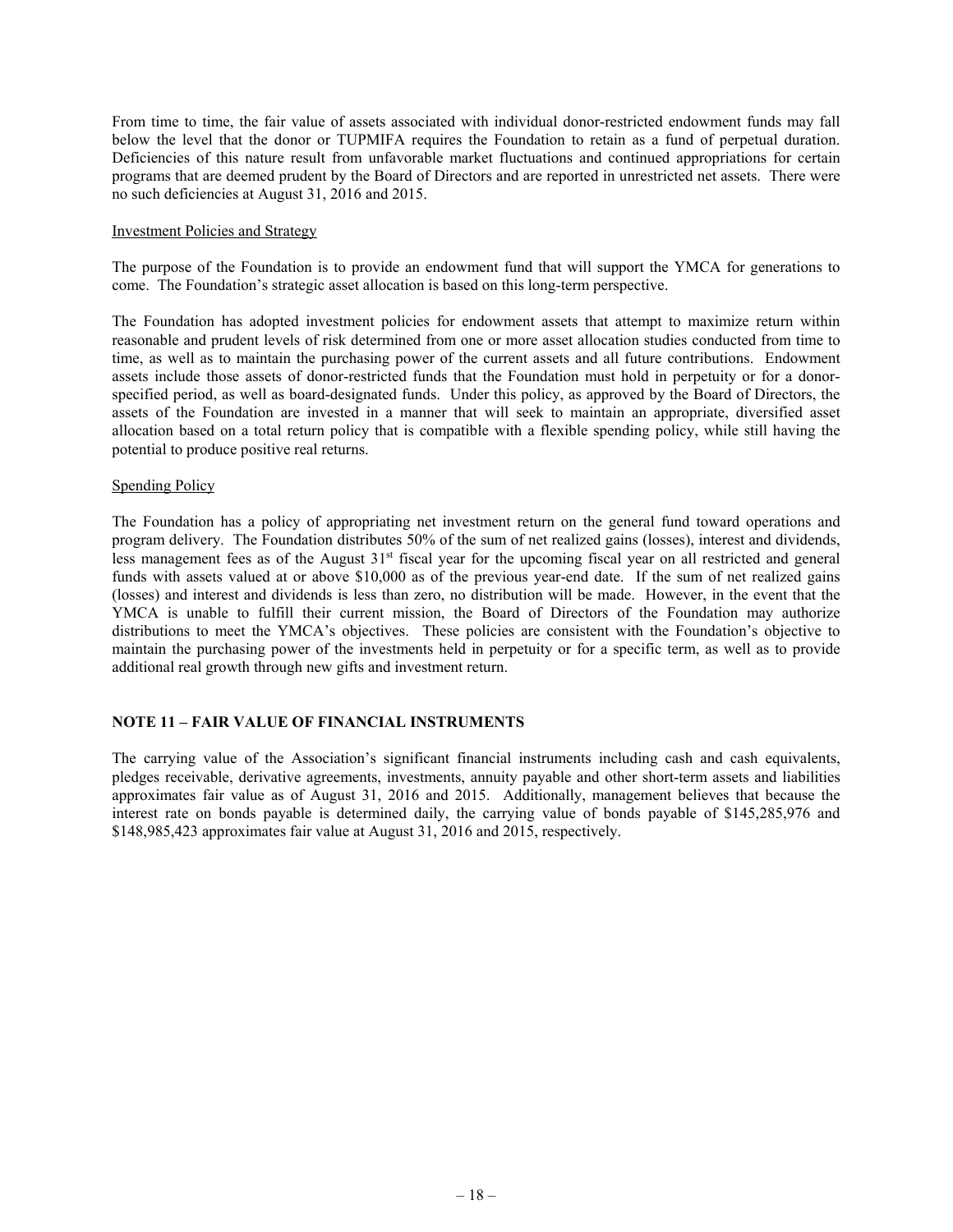From time to time, the fair value of assets associated with individual donor-restricted endowment funds may fall below the level that the donor or TUPMIFA requires the Foundation to retain as a fund of perpetual duration. Deficiencies of this nature result from unfavorable market fluctuations and continued appropriations for certain programs that are deemed prudent by the Board of Directors and are reported in unrestricted net assets. There were no such deficiencies at August 31, 2016 and 2015.

### Investment Policies and Strategy

The purpose of the Foundation is to provide an endowment fund that will support the YMCA for generations to come. The Foundation's strategic asset allocation is based on this long-term perspective.

The Foundation has adopted investment policies for endowment assets that attempt to maximize return within reasonable and prudent levels of risk determined from one or more asset allocation studies conducted from time to time, as well as to maintain the purchasing power of the current assets and all future contributions. Endowment assets include those assets of donor-restricted funds that the Foundation must hold in perpetuity or for a donorspecified period, as well as board-designated funds. Under this policy, as approved by the Board of Directors, the assets of the Foundation are invested in a manner that will seek to maintain an appropriate, diversified asset allocation based on a total return policy that is compatible with a flexible spending policy, while still having the potential to produce positive real returns.

#### Spending Policy

The Foundation has a policy of appropriating net investment return on the general fund toward operations and program delivery. The Foundation distributes 50% of the sum of net realized gains (losses), interest and dividends, less management fees as of the August 31st fiscal year for the upcoming fiscal year on all restricted and general funds with assets valued at or above \$10,000 as of the previous year-end date. If the sum of net realized gains (losses) and interest and dividends is less than zero, no distribution will be made. However, in the event that the YMCA is unable to fulfill their current mission, the Board of Directors of the Foundation may authorize distributions to meet the YMCA's objectives. These policies are consistent with the Foundation's objective to maintain the purchasing power of the investments held in perpetuity or for a specific term, as well as to provide additional real growth through new gifts and investment return.

## **NOTE 11 – FAIR VALUE OF FINANCIAL INSTRUMENTS**

The carrying value of the Association's significant financial instruments including cash and cash equivalents, pledges receivable, derivative agreements, investments, annuity payable and other short-term assets and liabilities approximates fair value as of August 31, 2016 and 2015. Additionally, management believes that because the interest rate on bonds payable is determined daily, the carrying value of bonds payable of \$145,285,976 and \$148,985,423 approximates fair value at August 31, 2016 and 2015, respectively.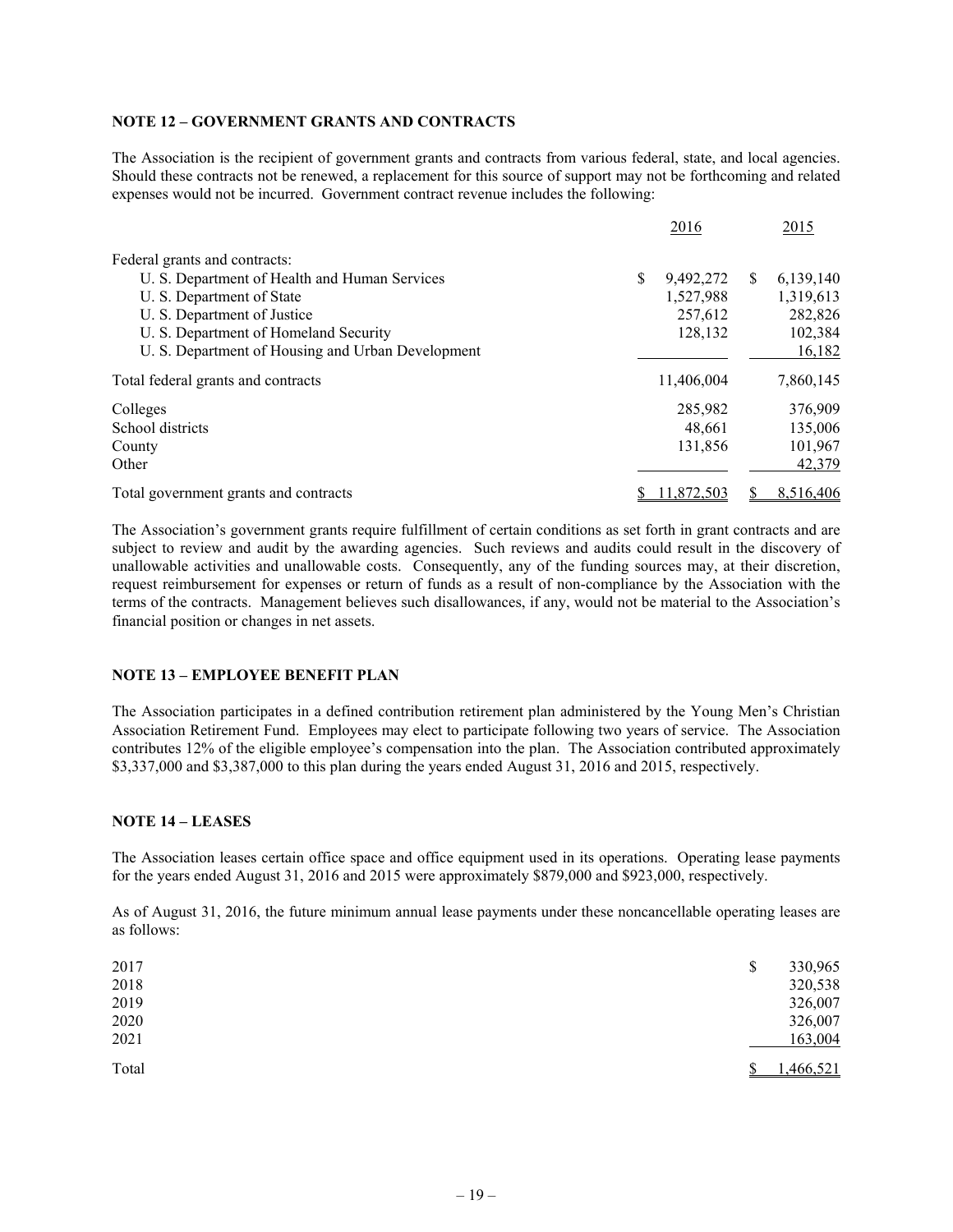### **NOTE 12 – GOVERNMENT GRANTS AND CONTRACTS**

The Association is the recipient of government grants and contracts from various federal, state, and local agencies. Should these contracts not be renewed, a replacement for this source of support may not be forthcoming and related expenses would not be incurred. Government contract revenue includes the following:

|                                                   | 2016       |    | 2015      |
|---------------------------------------------------|------------|----|-----------|
| Federal grants and contracts:                     |            |    |           |
| U. S. Department of Health and Human Services     | 9,492,272  | -S | 6,139,140 |
| U. S. Department of State                         | 1,527,988  |    | 1,319,613 |
| U. S. Department of Justice                       | 257,612    |    | 282,826   |
| U. S. Department of Homeland Security             | 128,132    |    | 102,384   |
| U. S. Department of Housing and Urban Development |            |    | 16,182    |
| Total federal grants and contracts                | 11,406,004 |    | 7,860,145 |
| Colleges                                          | 285,982    |    | 376,909   |
| School districts                                  | 48.661     |    | 135,006   |
| County                                            | 131,856    |    | 101,967   |
| Other                                             |            |    | 42,379    |
| Total government grants and contracts             | 11,872,503 |    | 8.516.406 |

The Association's government grants require fulfillment of certain conditions as set forth in grant contracts and are subject to review and audit by the awarding agencies. Such reviews and audits could result in the discovery of unallowable activities and unallowable costs. Consequently, any of the funding sources may, at their discretion, request reimbursement for expenses or return of funds as a result of non-compliance by the Association with the terms of the contracts. Management believes such disallowances, if any, would not be material to the Association's financial position or changes in net assets.

## **NOTE 13 – EMPLOYEE BENEFIT PLAN**

The Association participates in a defined contribution retirement plan administered by the Young Men's Christian Association Retirement Fund. Employees may elect to participate following two years of service. The Association contributes 12% of the eligible employee's compensation into the plan. The Association contributed approximately \$3,337,000 and \$3,387,000 to this plan during the years ended August 31, 2016 and 2015, respectively.

#### **NOTE 14 – LEASES**

The Association leases certain office space and office equipment used in its operations. Operating lease payments for the years ended August 31, 2016 and 2015 were approximately \$879,000 and \$923,000, respectively.

As of August 31, 2016, the future minimum annual lease payments under these noncancellable operating leases are as follows:

| 2017<br>2018 | 330,965<br>\$<br>320,538 |
|--------------|--------------------------|
| 2019         | 326,007                  |
| 2020         | 326,007                  |
| 2021         | 163,004                  |
| Total        | 1,466,521                |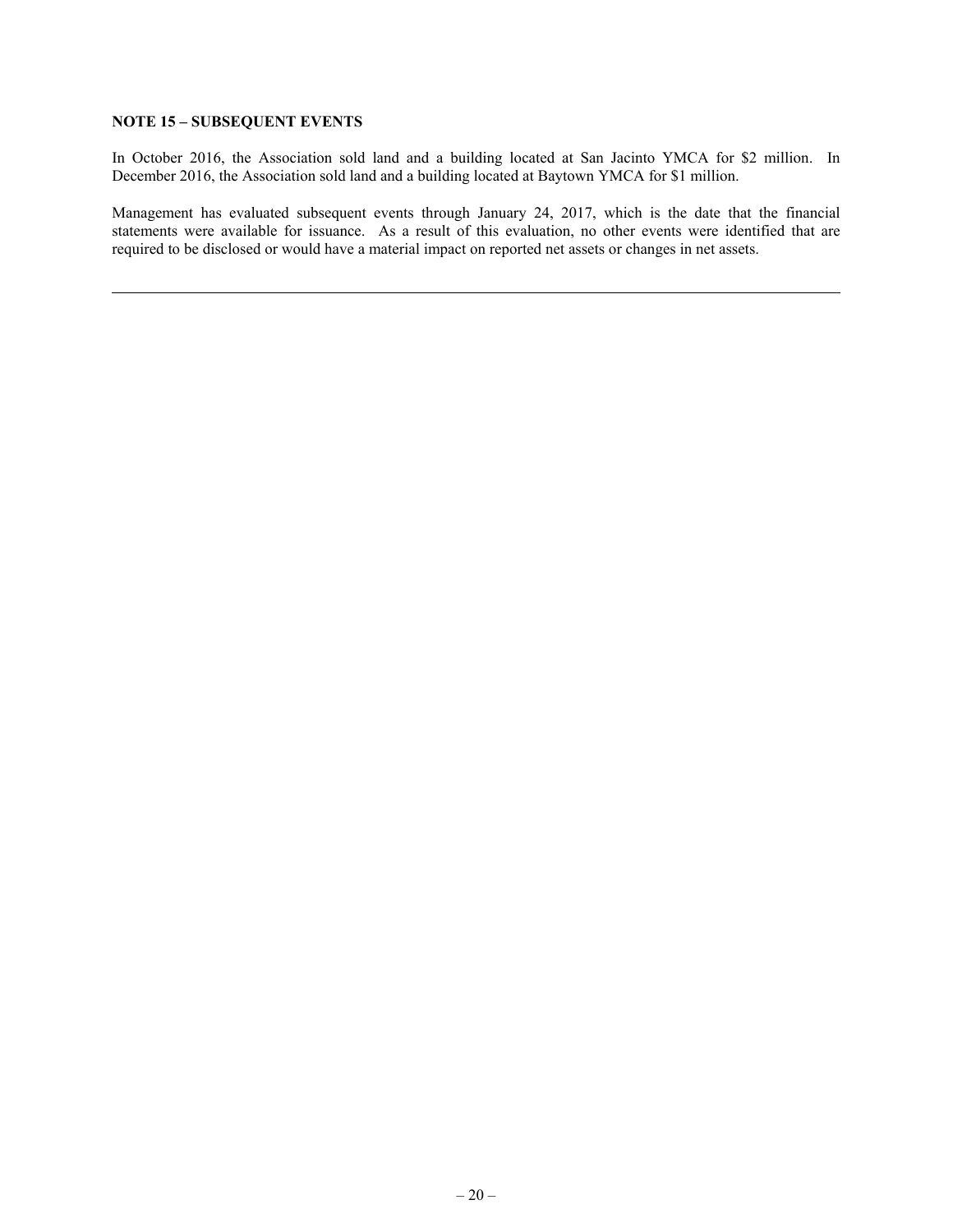## **NOTE 15 – SUBSEQUENT EVENTS**

In October 2016, the Association sold land and a building located at San Jacinto YMCA for \$2 million. In December 2016, the Association sold land and a building located at Baytown YMCA for \$1 million.

Management has evaluated subsequent events through January 24, 2017, which is the date that the financial statements were available for issuance. As a result of this evaluation, no other events were identified that are required to be disclosed or would have a material impact on reported net assets or changes in net assets.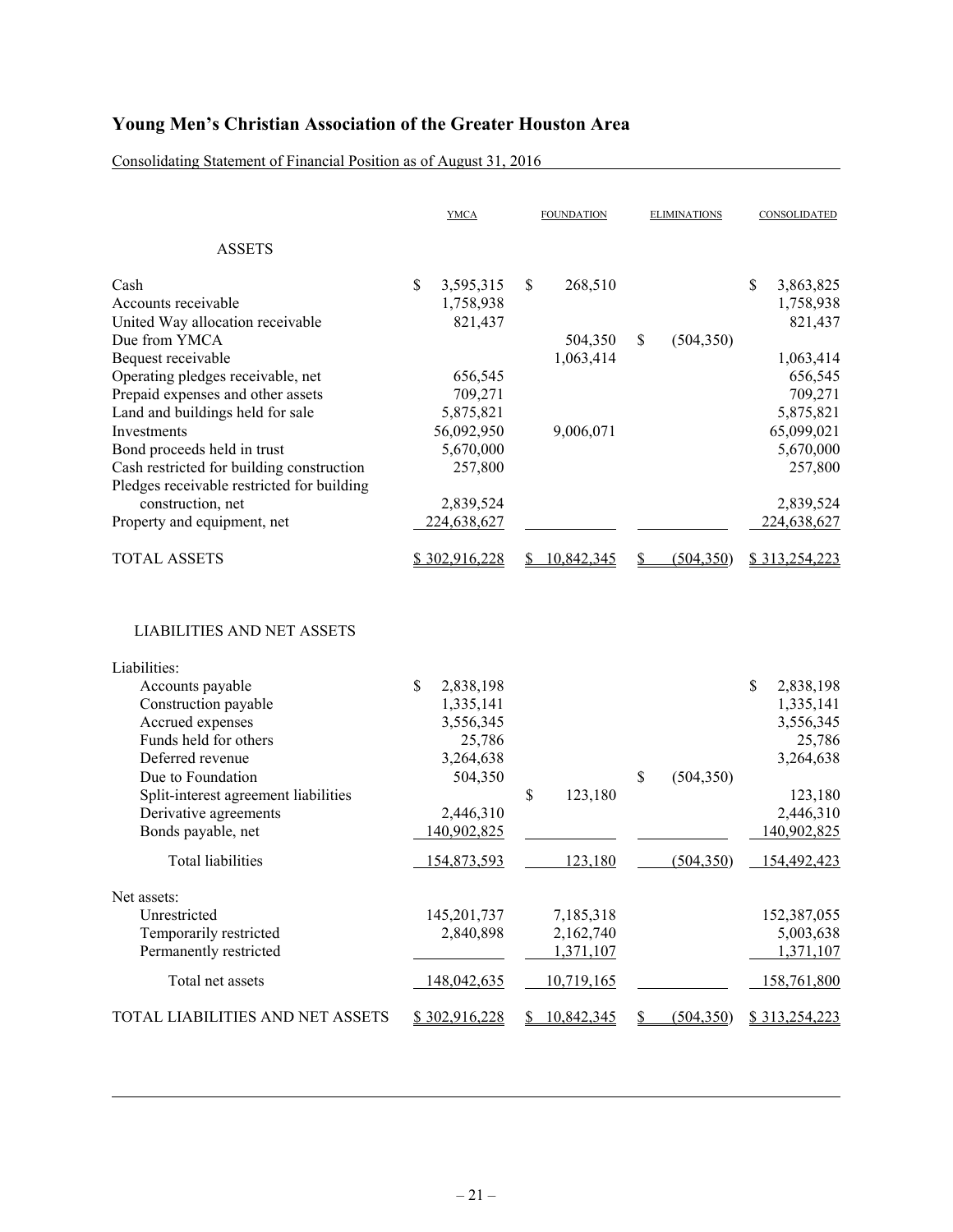Consolidating Statement of Financial Position as of August 31, 2016

|                                                                       | <b>YMCA</b>                             | <b>FOUNDATION</b> | <b>ELIMINATIONS</b> | CONSOLIDATED                            |
|-----------------------------------------------------------------------|-----------------------------------------|-------------------|---------------------|-----------------------------------------|
| <b>ASSETS</b>                                                         |                                         |                   |                     |                                         |
| Cash<br>Accounts receivable<br>United Way allocation receivable       | \$<br>3,595,315<br>1,758,938<br>821,437 | 268,510<br>\$     |                     | \$<br>3,863,825<br>1,758,938<br>821,437 |
| Due from YMCA                                                         |                                         | 504,350           | \$<br>(504, 350)    |                                         |
| Bequest receivable                                                    |                                         | 1,063,414         |                     | 1,063,414                               |
| Operating pledges receivable, net                                     | 656,545<br>709,271                      |                   |                     | 656,545<br>709,271                      |
| Prepaid expenses and other assets<br>Land and buildings held for sale | 5,875,821                               |                   |                     | 5,875,821                               |
| Investments                                                           | 56,092,950                              | 9,006,071         |                     | 65,099,021                              |
| Bond proceeds held in trust                                           | 5,670,000                               |                   |                     | 5,670,000                               |
| Cash restricted for building construction                             | 257,800                                 |                   |                     | 257,800                                 |
| Pledges receivable restricted for building                            |                                         |                   |                     |                                         |
| construction, net                                                     | 2,839,524                               |                   |                     | 2,839,524                               |
| Property and equipment, net                                           | 224,638,627                             |                   |                     | 224,638,627                             |
| <b>TOTAL ASSETS</b>                                                   | \$302,916,228                           | 10,842,345<br>S.  | (504, 350)<br>S     | \$313,254,223                           |
| <b>LIABILITIES AND NET ASSETS</b>                                     |                                         |                   |                     |                                         |
| Liabilities:                                                          | \$                                      |                   |                     | \$                                      |
| Accounts payable<br>Construction payable                              | 2,838,198<br>1,335,141                  |                   |                     | 2,838,198<br>1,335,141                  |
| Accrued expenses                                                      | 3,556,345                               |                   |                     | 3,556,345                               |
| Funds held for others                                                 | 25,786                                  |                   |                     | 25,786                                  |
| Deferred revenue                                                      | 3,264,638                               |                   |                     | 3,264,638                               |
| Due to Foundation                                                     | 504,350                                 |                   | \$<br>(504, 350)    |                                         |
| Split-interest agreement liabilities                                  |                                         | \$<br>123,180     |                     | 123,180                                 |
| Derivative agreements                                                 | 2,446,310                               |                   |                     | 2,446,310                               |
| Bonds payable, net                                                    | 140,902,825                             |                   |                     | 140,902,825                             |
| <b>Total liabilities</b>                                              | 154,873,593                             | 123,180           | (504, 350)          | 154,492,423                             |
| Net assets:                                                           |                                         |                   |                     |                                         |
| Unrestricted                                                          | 145,201,737                             | 7,185,318         |                     | 152,387,055                             |
| Temporarily restricted                                                | 2,840,898                               | 2,162,740         |                     | 5,003,638                               |
| Permanently restricted                                                |                                         | 1,371,107         |                     | 1,371,107                               |
| Total net assets                                                      | 148,042,635                             | 10,719,165        |                     | 158,761,800                             |
| TOTAL LIABILITIES AND NET ASSETS                                      | \$302,916,228                           | 10,842,345<br>S.  | (504, 350)<br>D.    | \$313,254,223                           |